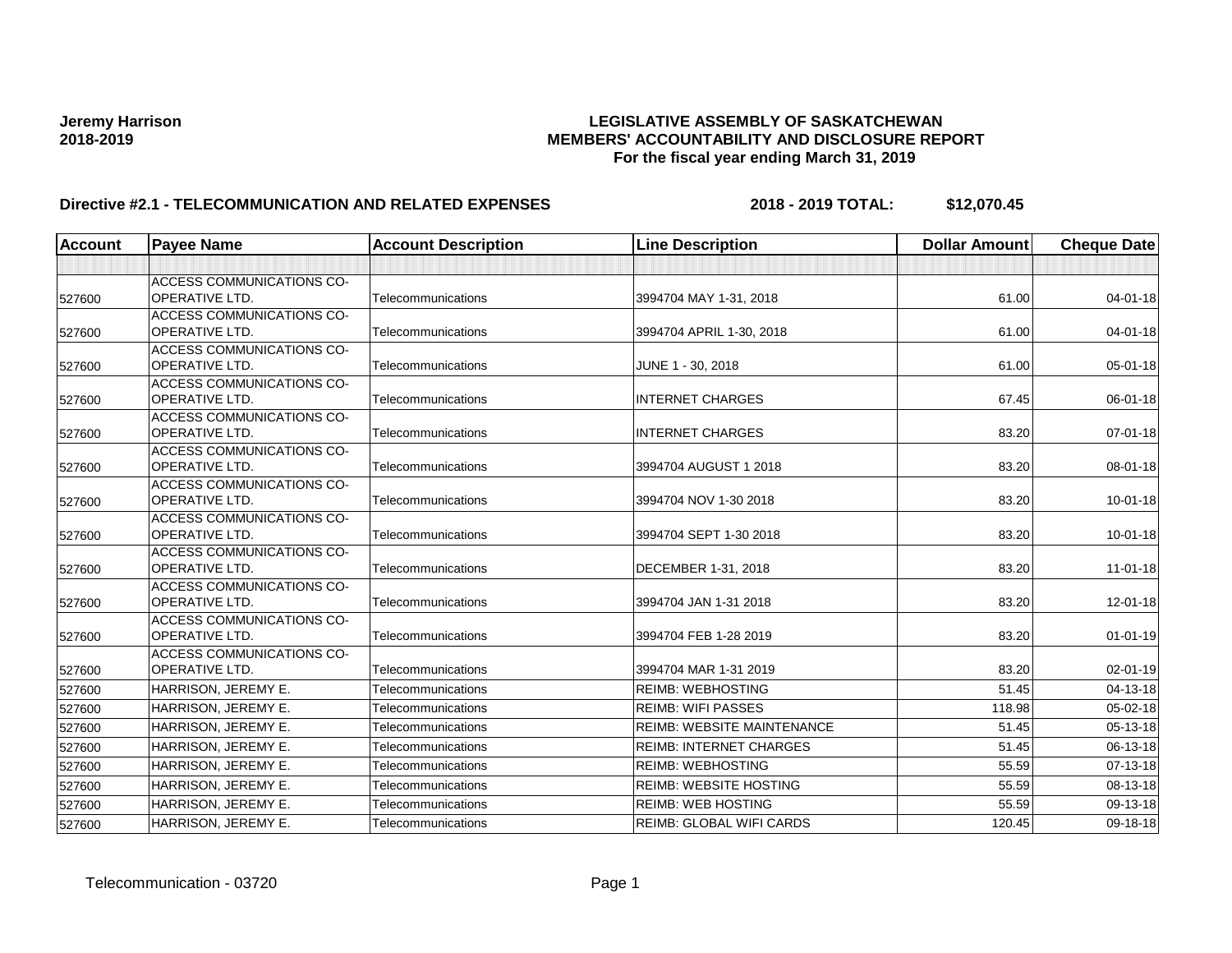| <b>Account</b> | <b>Payee Name</b>                           | <b>Account Description</b> | <b>Line Description</b>           | <b>Dollar Amount</b> | <b>Cheque Date</b> |
|----------------|---------------------------------------------|----------------------------|-----------------------------------|----------------------|--------------------|
|                |                                             |                            |                                   |                      |                    |
|                | ACCESS COMMUNICATIONS CO-                   |                            |                                   |                      |                    |
| 527600         | <b>OPERATIVE LTD.</b>                       | Telecommunications         | 3994704 MAY 1-31, 2018            | 61.00                | $04 - 01 - 18$     |
|                | <b>ACCESS COMMUNICATIONS CO-</b>            |                            |                                   |                      |                    |
| 527600         | <b>OPERATIVE LTD.</b>                       | Telecommunications         | 3994704 APRIL 1-30, 2018          | 61.00                | $04 - 01 - 18$     |
|                | <b>ACCESS COMMUNICATIONS CO-</b>            |                            |                                   |                      |                    |
| 527600         | <b>OPERATIVE LTD.</b>                       | Telecommunications         | JUNE 1 - 30, 2018                 | 61.00                | 05-01-18           |
|                | <b>ACCESS COMMUNICATIONS CO-</b>            |                            |                                   |                      |                    |
| 527600         | OPERATIVE LTD.                              | Telecommunications         | <b>INTERNET CHARGES</b>           | 67.45                | 06-01-18           |
|                | ACCESS COMMUNICATIONS CO-                   |                            |                                   |                      |                    |
| 527600         | OPERATIVE LTD.                              | Telecommunications         | <b>INTERNET CHARGES</b>           | 83.20                | 07-01-18           |
|                | ACCESS COMMUNICATIONS CO-<br>OPERATIVE LTD. | Telecommunications         |                                   |                      |                    |
| 527600         |                                             |                            | 3994704 AUGUST 1 2018             | 83.20                | 08-01-18           |
| 527600         | ACCESS COMMUNICATIONS CO-<br>OPERATIVE LTD. | Telecommunications         | 3994704 NOV 1-30 2018             | 83.20                | 10-01-18           |
|                | ACCESS COMMUNICATIONS CO-                   |                            |                                   |                      |                    |
| 527600         | OPERATIVE LTD.                              | Telecommunications         | 3994704 SEPT 1-30 2018            | 83.20                | $10 - 01 - 18$     |
|                | ACCESS COMMUNICATIONS CO-                   |                            |                                   |                      |                    |
| 527600         | <b>OPERATIVE LTD.</b>                       | Telecommunications         | DECEMBER 1-31, 2018               | 83.20                | $11 - 01 - 18$     |
|                | ACCESS COMMUNICATIONS CO-                   |                            |                                   |                      |                    |
| 527600         | OPERATIVE LTD.                              | Telecommunications         | 3994704 JAN 1-31 2018             | 83.20                | 12-01-18           |
|                | <b>ACCESS COMMUNICATIONS CO-</b>            |                            |                                   |                      |                    |
| 527600         | OPERATIVE LTD.                              | Telecommunications         | 3994704 FEB 1-28 2019             | 83.20                | $01 - 01 - 19$     |
|                | <b>ACCESS COMMUNICATIONS CO-</b>            |                            |                                   |                      |                    |
| 527600         | OPERATIVE LTD.                              | Telecommunications         | 3994704 MAR 1-31 2019             | 83.20                | 02-01-19           |
| 527600         | HARRISON, JEREMY E.                         | Telecommunications         | <b>REIMB: WEBHOSTING</b>          | 51.45                | 04-13-18           |
| 527600         | HARRISON, JEREMY E.                         | Telecommunications         | <b>REIMB: WIFI PASSES</b>         | 118.98               | 05-02-18           |
| 527600         | HARRISON, JEREMY E.                         | Telecommunications         | <b>REIMB: WEBSITE MAINTENANCE</b> | 51.45                | 05-13-18           |
| 527600         | HARRISON, JEREMY E.                         | Telecommunications         | <b>REIMB: INTERNET CHARGES</b>    | 51.45                | 06-13-18           |
| 527600         | HARRISON, JEREMY E.                         | Telecommunications         | <b>REIMB: WEBHOSTING</b>          | 55.59                | 07-13-18           |
| 527600         | HARRISON, JEREMY E.                         | Telecommunications         | <b>REIMB: WEBSITE HOSTING</b>     | 55.59                | 08-13-18           |
| 527600         | HARRISON, JEREMY E.                         | Telecommunications         | <b>REIMB: WEB HOSTING</b>         | 55.59                | 09-13-18           |
| 527600         | HARRISON, JEREMY E.                         | Telecommunications         | REIMB: GLOBAL WIFI CARDS          | 120.45               | 09-18-18           |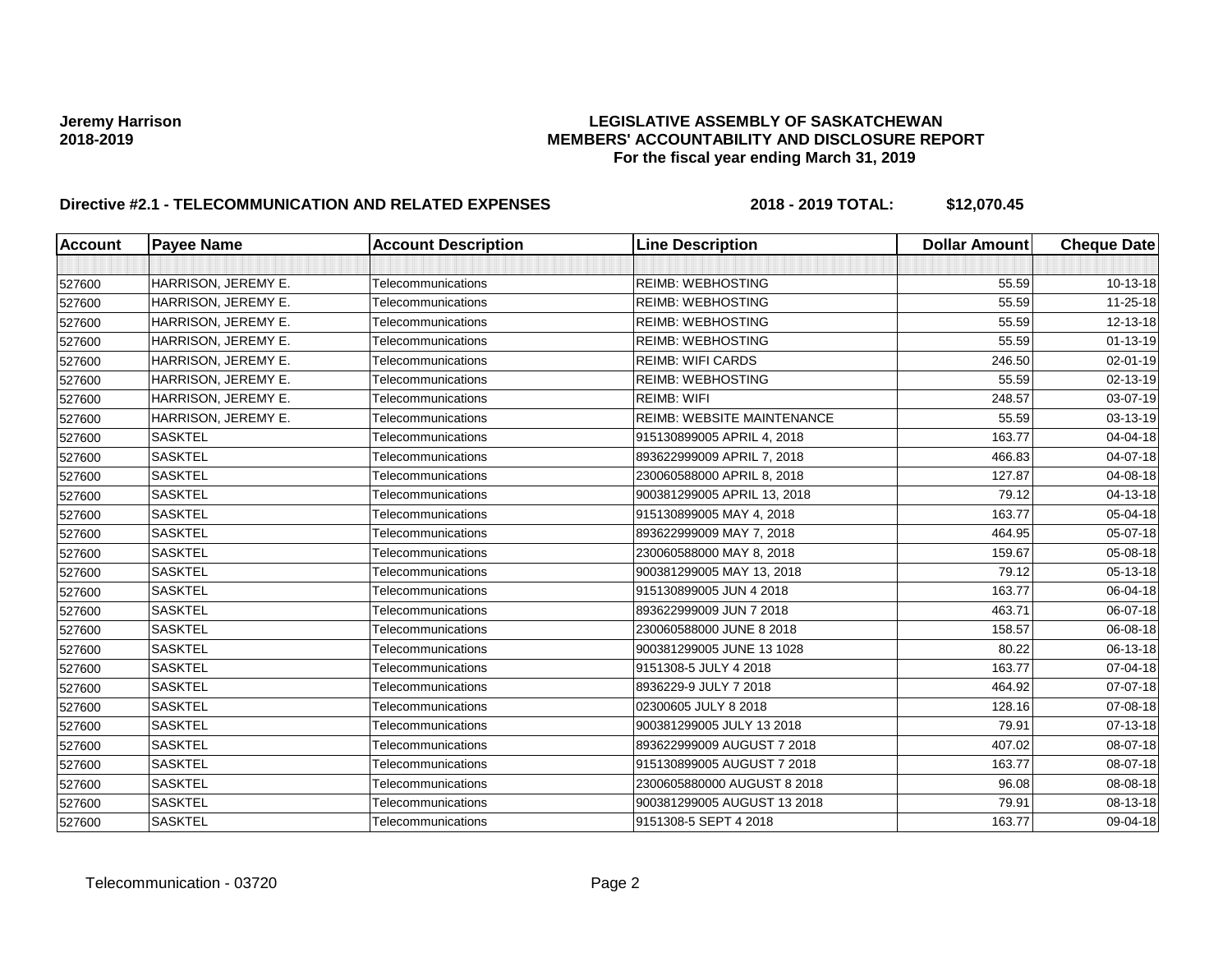| <b>Account</b> | <b>Payee Name</b>   | <b>Account Description</b> | <b>Line Description</b>           | <b>Dollar Amount</b> | <b>Cheque Date</b> |
|----------------|---------------------|----------------------------|-----------------------------------|----------------------|--------------------|
|                |                     |                            |                                   |                      |                    |
| 527600         | HARRISON, JEREMY E. | Telecommunications         | <b>REIMB: WEBHOSTING</b>          | 55.59                | 10-13-18           |
| 527600         | HARRISON, JEREMY E. | Telecommunications         | <b>REIMB: WEBHOSTING</b>          | 55.59                | 11-25-18           |
| 527600         | HARRISON, JEREMY E. | Telecommunications         | <b>REIMB: WEBHOSTING</b>          | 55.59                | 12-13-18           |
| 527600         | HARRISON, JEREMY E. | Telecommunications         | <b>REIMB: WEBHOSTING</b>          | 55.59                | $01 - 13 - 19$     |
| 527600         | HARRISON, JEREMY E. | Telecommunications         | <b>REIMB: WIFI CARDS</b>          | 246.50               | 02-01-19           |
| 527600         | HARRISON, JEREMY E. | Telecommunications         | <b>REIMB: WEBHOSTING</b>          | 55.59                | 02-13-19           |
| 527600         | HARRISON, JEREMY E. | Telecommunications         | <b>REIMB: WIFI</b>                | 248.57               | 03-07-19           |
| 527600         | HARRISON, JEREMY E. | Telecommunications         | <b>REIMB: WEBSITE MAINTENANCE</b> | 55.59                | 03-13-19           |
| 527600         | <b>SASKTEL</b>      | Telecommunications         | 915130899005 APRIL 4, 2018        | 163.77               | 04-04-18           |
| 527600         | <b>SASKTEL</b>      | Telecommunications         | 893622999009 APRIL 7, 2018        | 466.83               | 04-07-18           |
| 527600         | <b>SASKTEL</b>      | Telecommunications         | 230060588000 APRIL 8, 2018        | 127.87               | 04-08-18           |
| 527600         | <b>SASKTEL</b>      | Telecommunications         | 900381299005 APRIL 13, 2018       | 79.12                | 04-13-18           |
| 527600         | <b>SASKTEL</b>      | Telecommunications         | 915130899005 MAY 4, 2018          | 163.77               | 05-04-18           |
| 527600         | <b>SASKTEL</b>      | Telecommunications         | 893622999009 MAY 7, 2018          | 464.95               | 05-07-18           |
| 527600         | <b>SASKTEL</b>      | Telecommunications         | 230060588000 MAY 8, 2018          | 159.67               | 05-08-18           |
| 527600         | <b>SASKTEL</b>      | Telecommunications         | 900381299005 MAY 13, 2018         | 79.12                | 05-13-18           |
| 527600         | <b>SASKTEL</b>      | Telecommunications         | 915130899005 JUN 4 2018           | 163.77               | 06-04-18           |
| 527600         | <b>SASKTEL</b>      | Telecommunications         | 893622999009 JUN 7 2018           | 463.71               | 06-07-18           |
| 527600         | <b>SASKTEL</b>      | Telecommunications         | 230060588000 JUNE 8 2018          | 158.57               | 06-08-18           |
| 527600         | <b>SASKTEL</b>      | Telecommunications         | 900381299005 JUNE 13 1028         | 80.22                | 06-13-18           |
| 527600         | <b>SASKTEL</b>      | Telecommunications         | 9151308-5 JULY 4 2018             | 163.77               | 07-04-18           |
| 527600         | <b>SASKTEL</b>      | Telecommunications         | 8936229-9 JULY 7 2018             | 464.92               | 07-07-18           |
| 527600         | <b>SASKTEL</b>      | Telecommunications         | 02300605 JULY 8 2018              | 128.16               | 07-08-18           |
| 527600         | <b>SASKTEL</b>      | Telecommunications         | 900381299005 JULY 13 2018         | 79.91                | 07-13-18           |
| 527600         | <b>SASKTEL</b>      | Telecommunications         | 893622999009 AUGUST 7 2018        | 407.02               | 08-07-18           |
| 527600         | <b>SASKTEL</b>      | Telecommunications         | 915130899005 AUGUST 7 2018        | 163.77               | 08-07-18           |
| 527600         | <b>SASKTEL</b>      | Telecommunications         | 2300605880000 AUGUST 8 2018       | 96.08                | 08-08-18           |
| 527600         | <b>SASKTEL</b>      | Telecommunications         | 900381299005 AUGUST 13 2018       | 79.91                | 08-13-18           |
| 527600         | <b>SASKTEL</b>      | Telecommunications         | 9151308-5 SEPT 4 2018             | 163.77               | 09-04-18           |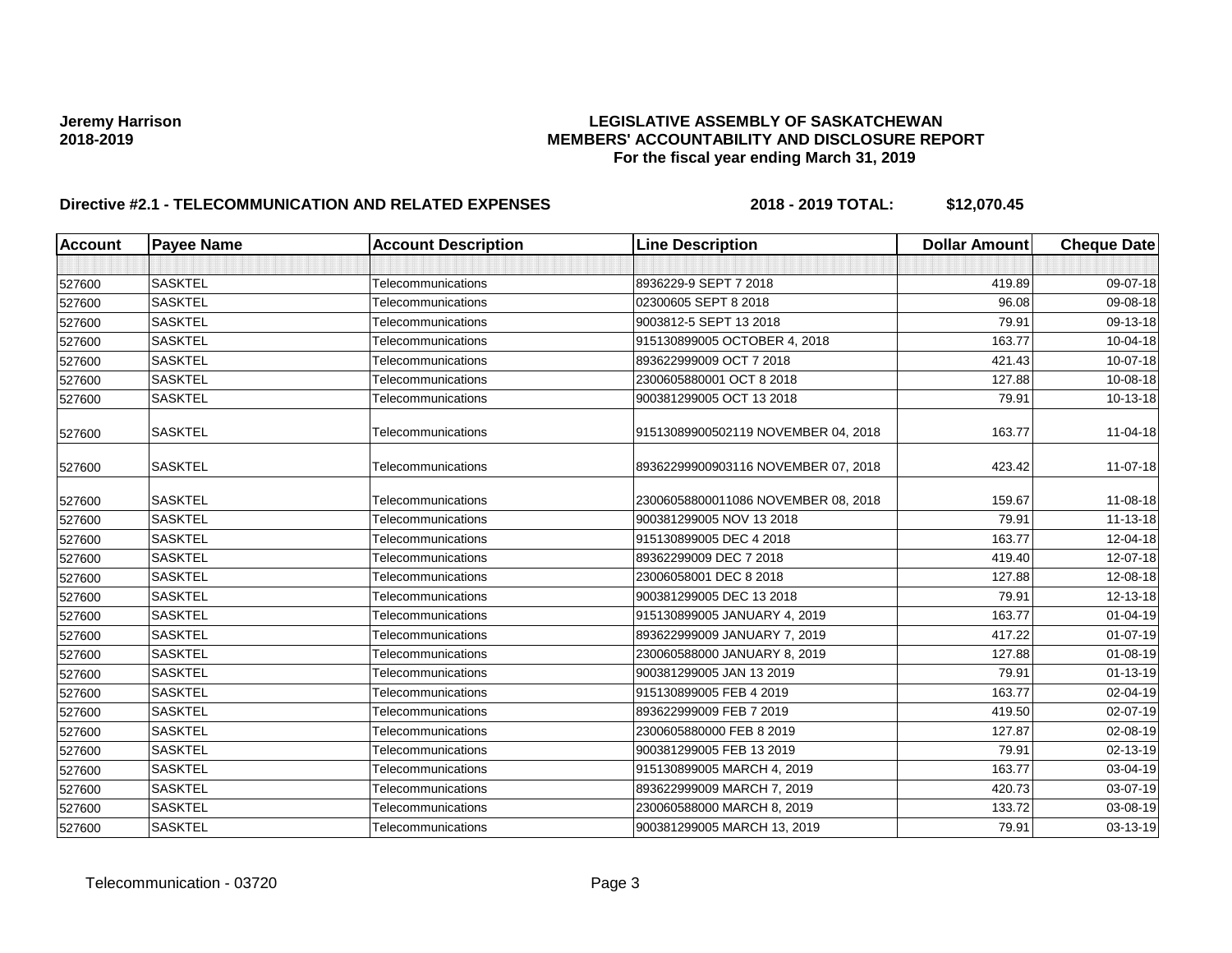| <b>Account</b> | <b>Payee Name</b> | <b>Account Description</b> | <b>Line Description</b>             | <b>Dollar Amount</b> | <b>Cheque Date</b> |
|----------------|-------------------|----------------------------|-------------------------------------|----------------------|--------------------|
|                |                   |                            |                                     |                      |                    |
| 527600         | <b>SASKTEL</b>    | Telecommunications         | 8936229-9 SEPT 7 2018               | 419.89               | 09-07-18           |
| 527600         | <b>SASKTEL</b>    | Telecommunications         | 02300605 SEPT 8 2018                | 96.08                | 09-08-18           |
| 527600         | <b>SASKTEL</b>    | Telecommunications         | 9003812-5 SEPT 13 2018              | 79.91                | 09-13-18           |
| 527600         | <b>SASKTEL</b>    | Telecommunications         | 915130899005 OCTOBER 4, 2018        | 163.77               | 10-04-18           |
| 527600         | <b>SASKTEL</b>    | Telecommunications         | 893622999009 OCT 7 2018             | 421.43               | 10-07-18           |
| 527600         | <b>SASKTEL</b>    | Telecommunications         | 2300605880001 OCT 8 2018            | 127.88               | 10-08-18           |
| 527600         | <b>SASKTEL</b>    | Telecommunications         | 900381299005 OCT 13 2018            | 79.91                | 10-13-18           |
| 527600         | <b>SASKTEL</b>    | Telecommunications         | 91513089900502119 NOVEMBER 04, 2018 | 163.77               | 11-04-18           |
| 527600         | <b>SASKTEL</b>    | Telecommunications         | 89362299900903116 NOVEMBER 07, 2018 | 423.42               | $11-07-18$         |
| 527600         | <b>SASKTEL</b>    | Telecommunications         | 23006058800011086 NOVEMBER 08, 2018 | 159.67               | 11-08-18           |
| 527600         | <b>SASKTEL</b>    | Telecommunications         | 900381299005 NOV 13 2018            | 79.91                | 11-13-18           |
| 527600         | <b>SASKTEL</b>    | Telecommunications         | 915130899005 DEC 4 2018             | 163.77               | 12-04-18           |
| 527600         | <b>SASKTEL</b>    | Telecommunications         | 89362299009 DEC 7 2018              | 419.40               | 12-07-18           |
| 527600         | <b>SASKTEL</b>    | Telecommunications         | 23006058001 DEC 8 2018              | 127.88               | 12-08-18           |
| 527600         | <b>SASKTEL</b>    | Telecommunications         | 900381299005 DEC 13 2018            | 79.91                | 12-13-18           |
| 527600         | <b>SASKTEL</b>    | Telecommunications         | 915130899005 JANUARY 4, 2019        | 163.77               | $01 - 04 - 19$     |
| 527600         | <b>SASKTEL</b>    | Telecommunications         | 893622999009 JANUARY 7, 2019        | 417.22               | $01-07-19$         |
| 527600         | <b>SASKTEL</b>    | Telecommunications         | 230060588000 JANUARY 8, 2019        | 127.88               | 01-08-19           |
| 527600         | <b>SASKTEL</b>    | Telecommunications         | 900381299005 JAN 13 2019            | 79.91                | $01 - 13 - 19$     |
| 527600         | <b>SASKTEL</b>    | Telecommunications         | 915130899005 FEB 4 2019             | 163.77               | 02-04-19           |
| 527600         | <b>SASKTEL</b>    | Telecommunications         | 893622999009 FEB 7 2019             | 419.50               | 02-07-19           |
| 527600         | <b>SASKTEL</b>    | Telecommunications         | 2300605880000 FEB 8 2019            | 127.87               | 02-08-19           |
| 527600         | <b>SASKTEL</b>    | Telecommunications         | 900381299005 FEB 13 2019            | 79.91                | 02-13-19           |
| 527600         | <b>SASKTEL</b>    | Telecommunications         | 915130899005 MARCH 4, 2019          | 163.77               | 03-04-19           |
| 527600         | <b>SASKTEL</b>    | Telecommunications         | 893622999009 MARCH 7, 2019          | 420.73               | 03-07-19           |
| 527600         | <b>SASKTEL</b>    | Telecommunications         | 230060588000 MARCH 8, 2019          | 133.72               | 03-08-19           |
| 527600         | <b>SASKTEL</b>    | Telecommunications         | 900381299005 MARCH 13, 2019         | 79.91                | 03-13-19           |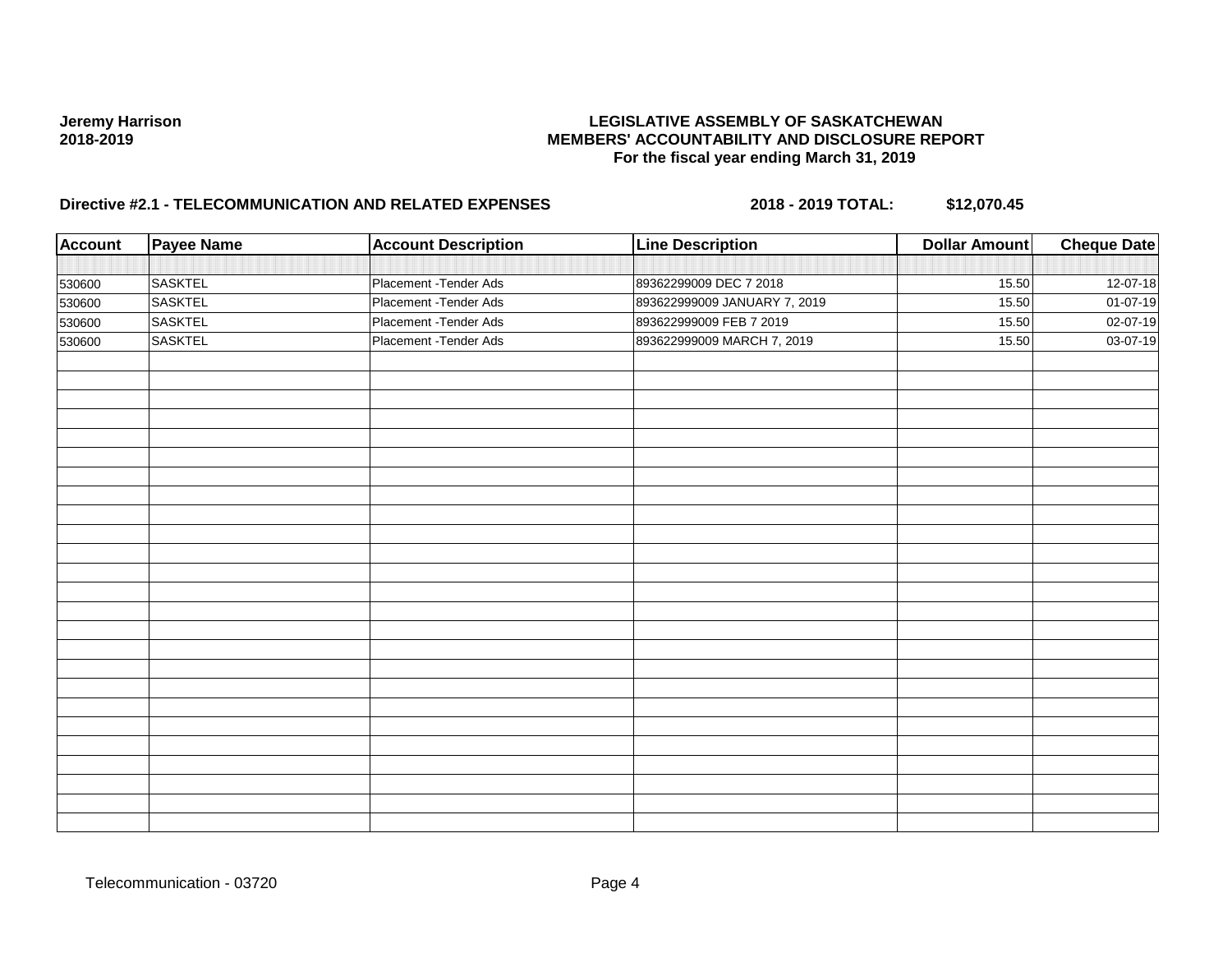| <b>Account</b> | <b>Payee Name</b> | <b>Account Description</b> | <b>Line Description</b>      | <b>Dollar Amount</b> | <b>Cheque Date</b> |
|----------------|-------------------|----------------------------|------------------------------|----------------------|--------------------|
|                |                   |                            |                              |                      |                    |
| 530600         | <b>SASKTEL</b>    | Placement - Tender Ads     | 89362299009 DEC 7 2018       | 15.50                | 12-07-18           |
| 530600         | <b>SASKTEL</b>    | Placement - Tender Ads     | 893622999009 JANUARY 7, 2019 | 15.50                | $01-07-19$         |
| 530600         | <b>SASKTEL</b>    | Placement - Tender Ads     | 893622999009 FEB 7 2019      | 15.50                | 02-07-19           |
| 530600         | <b>SASKTEL</b>    | Placement - Tender Ads     | 893622999009 MARCH 7, 2019   | 15.50                | 03-07-19           |
|                |                   |                            |                              |                      |                    |
|                |                   |                            |                              |                      |                    |
|                |                   |                            |                              |                      |                    |
|                |                   |                            |                              |                      |                    |
|                |                   |                            |                              |                      |                    |
|                |                   |                            |                              |                      |                    |
|                |                   |                            |                              |                      |                    |
|                |                   |                            |                              |                      |                    |
|                |                   |                            |                              |                      |                    |
|                |                   |                            |                              |                      |                    |
|                |                   |                            |                              |                      |                    |
|                |                   |                            |                              |                      |                    |
|                |                   |                            |                              |                      |                    |
|                |                   |                            |                              |                      |                    |
|                |                   |                            |                              |                      |                    |
|                |                   |                            |                              |                      |                    |
|                |                   |                            |                              |                      |                    |
|                |                   |                            |                              |                      |                    |
|                |                   |                            |                              |                      |                    |
|                |                   |                            |                              |                      |                    |
|                |                   |                            |                              |                      |                    |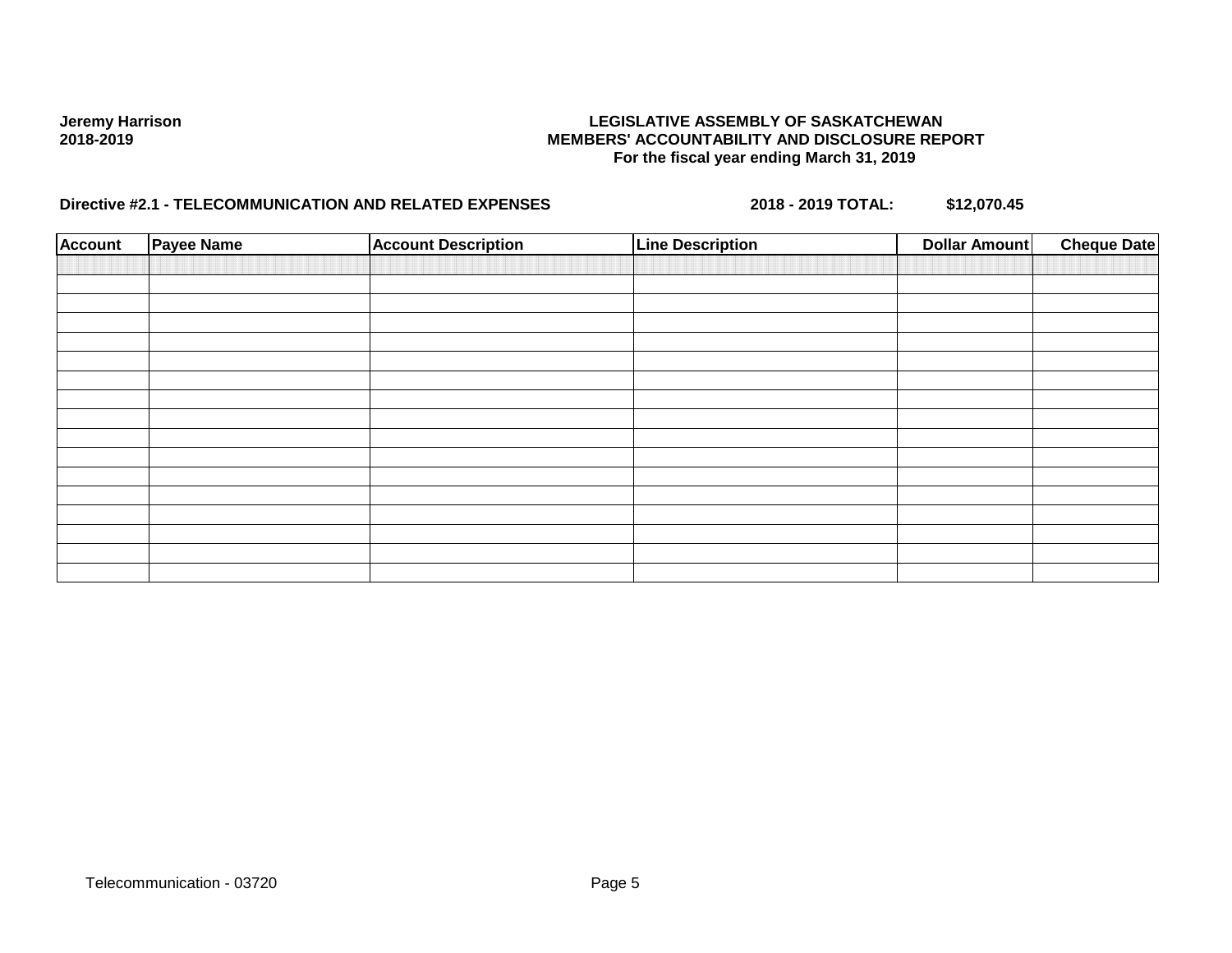| <b>Account</b> | Payee Name | <b>Account Description</b> | <b>Line Description</b> | <b>Dollar Amount</b> | <b>Cheque Date</b> |
|----------------|------------|----------------------------|-------------------------|----------------------|--------------------|
|                |            |                            |                         |                      |                    |
|                |            |                            |                         |                      |                    |
|                |            |                            |                         |                      |                    |
|                |            |                            |                         |                      |                    |
|                |            |                            |                         |                      |                    |
|                |            |                            |                         |                      |                    |
|                |            |                            |                         |                      |                    |
|                |            |                            |                         |                      |                    |
|                |            |                            |                         |                      |                    |
|                |            |                            |                         |                      |                    |
|                |            |                            |                         |                      |                    |
|                |            |                            |                         |                      |                    |
|                |            |                            |                         |                      |                    |
|                |            |                            |                         |                      |                    |
|                |            |                            |                         |                      |                    |
|                |            |                            |                         |                      |                    |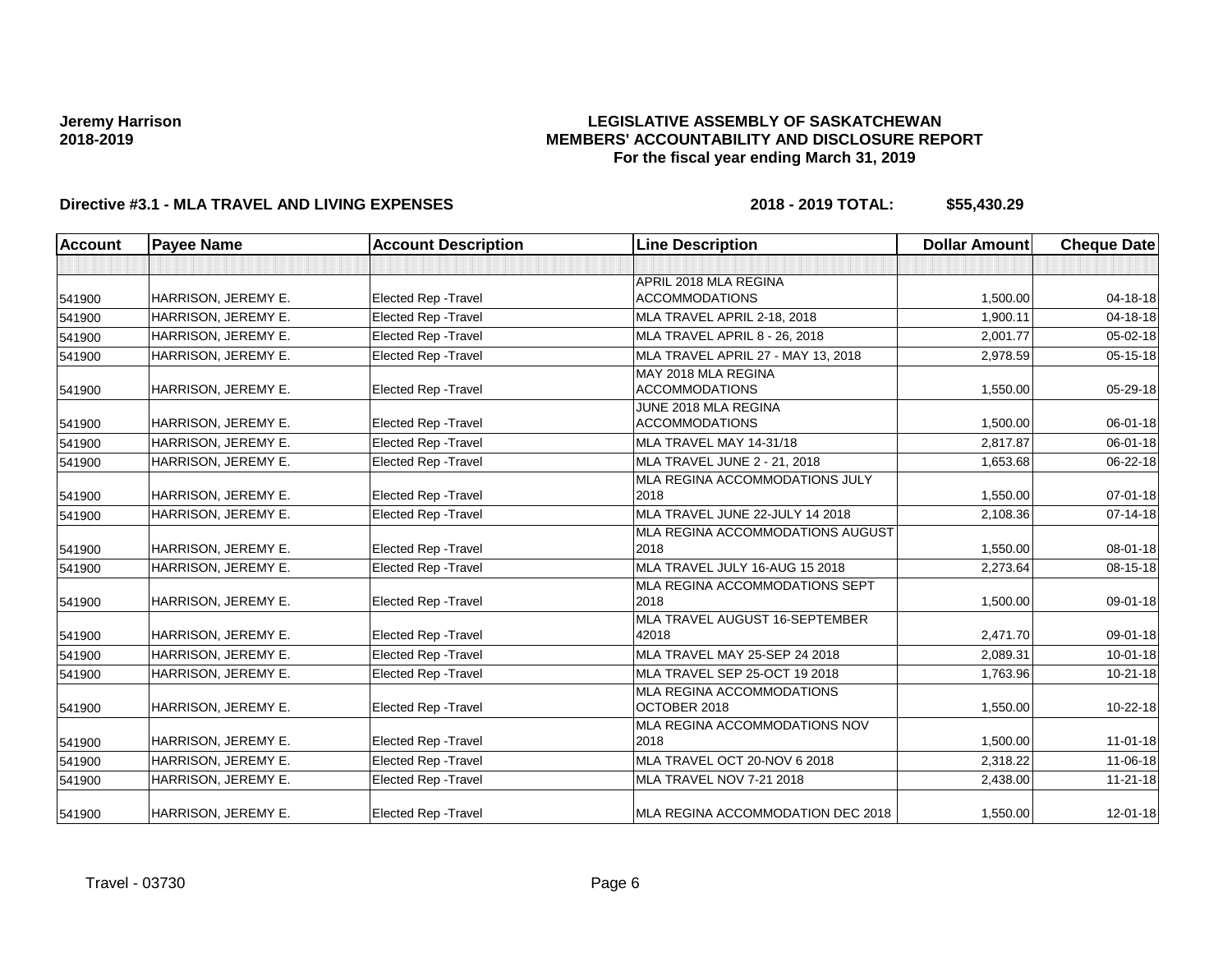## **LEGISLATIVE ASSEMBLY OF SASKATCHEWAN MEMBERS' ACCOUNTABILITY AND DISCLOSURE REPORT For the fiscal year ending March 31, 2019**

| <b>Account</b> | <b>Payee Name</b>   | <b>Account Description</b>  | <b>Line Description</b>              | <b>Dollar Amount</b> | <b>Cheque Date</b> |
|----------------|---------------------|-----------------------------|--------------------------------------|----------------------|--------------------|
|                |                     |                             |                                      |                      |                    |
|                |                     |                             | APRIL 2018 MLA REGINA                |                      |                    |
| 541900         | HARRISON, JEREMY E. | <b>Elected Rep - Travel</b> | <b>ACCOMMODATIONS</b>                | 1,500.00             | 04-18-18           |
| 541900         | HARRISON, JEREMY E. | Elected Rep - Travel        | MLA TRAVEL APRIL 2-18, 2018          | 1,900.11             | 04-18-18           |
| 541900         | HARRISON, JEREMY E. | <b>Elected Rep - Travel</b> | <b>MLA TRAVEL APRIL 8 - 26, 2018</b> | 2.001.77             | $05 - 02 - 18$     |
| 541900         | HARRISON, JEREMY E. | <b>Elected Rep - Travel</b> | MLA TRAVEL APRIL 27 - MAY 13, 2018   | 2,978.59             | $05 - 15 - 18$     |
|                |                     |                             | MAY 2018 MLA REGINA                  |                      |                    |
| 541900         | HARRISON, JEREMY E. | <b>Elected Rep - Travel</b> | <b>ACCOMMODATIONS</b>                | 1,550.00             | 05-29-18           |
|                |                     |                             | JUNE 2018 MLA REGINA                 |                      |                    |
| 541900         | HARRISON, JEREMY E. | <b>Elected Rep - Travel</b> | <b>ACCOMMODATIONS</b>                | 1,500.00             | 06-01-18           |
| 541900         | HARRISON, JEREMY E. | <b>Elected Rep - Travel</b> | MLA TRAVEL MAY 14-31/18              | 2,817.87             | $06 - 01 - 18$     |
| 541900         | HARRISON, JEREMY E. | <b>Elected Rep - Travel</b> | MLA TRAVEL JUNE 2 - 21, 2018         | 1,653.68             | 06-22-18           |
|                |                     |                             | MLA REGINA ACCOMMODATIONS JULY       |                      |                    |
| 541900         | HARRISON, JEREMY E. | <b>Elected Rep - Travel</b> | 2018                                 | 1,550.00             | $07 - 01 - 18$     |
| 541900         | HARRISON, JEREMY E. | <b>Elected Rep - Travel</b> | MLA TRAVEL JUNE 22-JULY 14 2018      | 2.108.36             | $07-14-18$         |
|                |                     |                             | MLA REGINA ACCOMMODATIONS AUGUST     |                      |                    |
| 541900         | HARRISON, JEREMY E. | <b>Elected Rep - Travel</b> | 2018                                 | 1,550.00             | 08-01-18           |
| 541900         | HARRISON, JEREMY E. | <b>Elected Rep - Travel</b> | MLA TRAVEL JULY 16-AUG 15 2018       | 2,273.64             | 08-15-18           |
|                |                     |                             | MLA REGINA ACCOMMODATIONS SEPT       |                      |                    |
| 541900         | HARRISON, JEREMY E. | <b>Elected Rep - Travel</b> | 2018                                 | 1,500.00             | 09-01-18           |
|                |                     |                             | MLA TRAVEL AUGUST 16-SEPTEMBER       |                      |                    |
| 541900         | HARRISON, JEREMY E. | Elected Rep - Travel        | 42018                                | 2,471.70             | 09-01-18           |
| 541900         | HARRISON, JEREMY E. | Elected Rep - Travel        | MLA TRAVEL MAY 25-SEP 24 2018        | 2,089.31             | $10 - 01 - 18$     |
| 541900         | HARRISON, JEREMY E. | Elected Rep - Travel        | MLA TRAVEL SEP 25-OCT 19 2018        | 1,763.96             | $10-21-18$         |
|                |                     |                             | MLA REGINA ACCOMMODATIONS            |                      |                    |
| 541900         | HARRISON, JEREMY E. | Elected Rep - Travel        | OCTOBER 2018                         | 1,550.00             | 10-22-18           |
|                |                     |                             | MLA REGINA ACCOMMODATIONS NOV        |                      |                    |
| 541900         | HARRISON, JEREMY E. | Elected Rep - Travel        | 2018                                 | 1,500.00             | $11 - 01 - 18$     |
| 541900         | HARRISON, JEREMY E. | Elected Rep - Travel        | MLA TRAVEL OCT 20-NOV 6 2018         | 2,318.22             | 11-06-18           |
| 541900         | HARRISON, JEREMY E. | <b>Elected Rep - Travel</b> | MLA TRAVEL NOV 7-21 2018             | 2,438.00             | $11 - 21 - 18$     |
| 541900         | HARRISON, JEREMY E. | Elected Rep - Travel        | MLA REGINA ACCOMMODATION DEC 2018    | 1,550.00             | $12 - 01 - 18$     |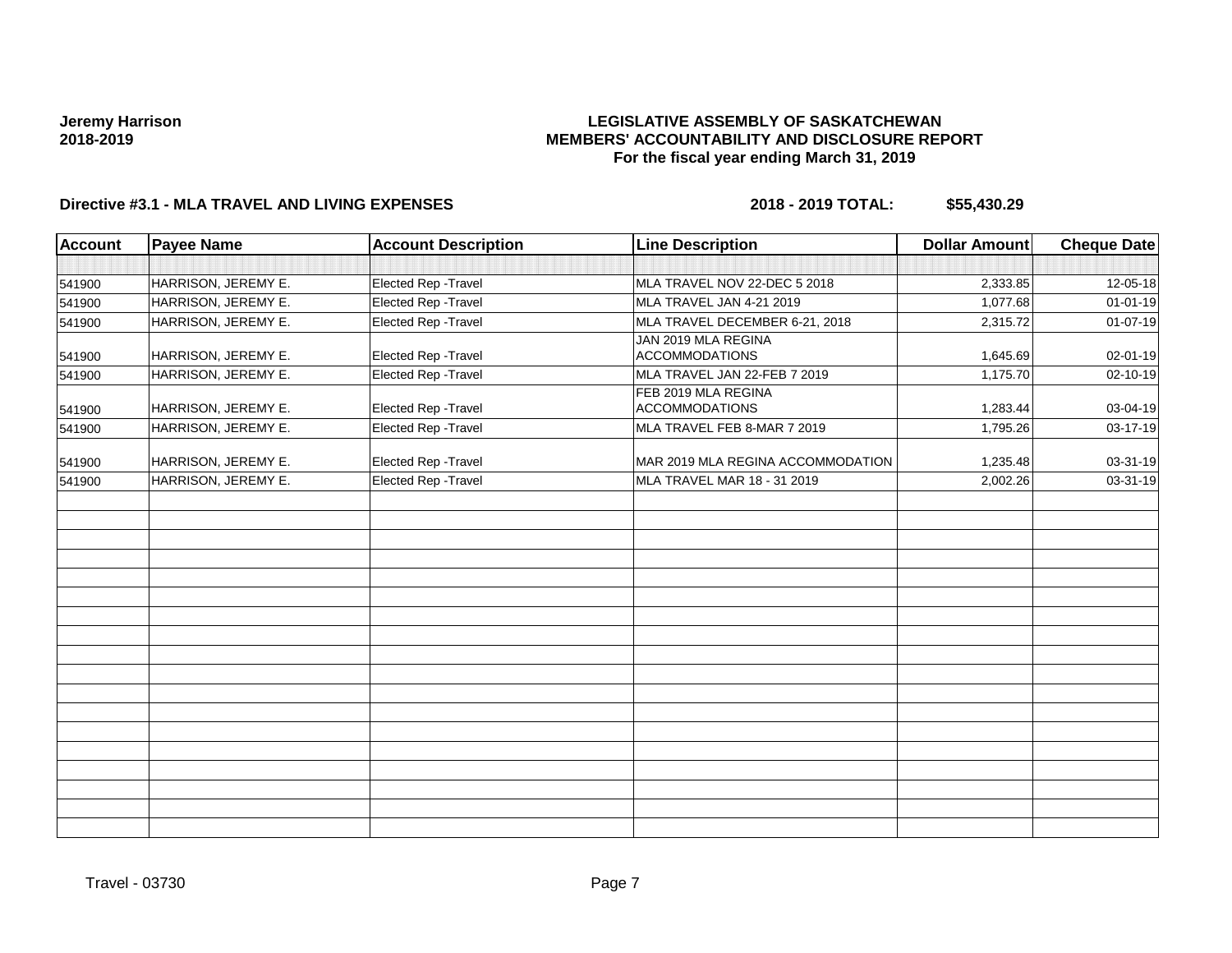## **LEGISLATIVE ASSEMBLY OF SASKATCHEWAN MEMBERS' ACCOUNTABILITY AND DISCLOSURE REPORT For the fiscal year ending March 31, 2019**

| <b>Account</b> | <b>Payee Name</b>   | <b>Account Description</b> | <b>Line Description</b>                      | <b>Dollar Amount</b> | <b>Cheque Date</b> |
|----------------|---------------------|----------------------------|----------------------------------------------|----------------------|--------------------|
|                |                     |                            |                                              |                      |                    |
| 541900         | HARRISON, JEREMY E. | Elected Rep - Travel       | MLA TRAVEL NOV 22-DEC 5 2018                 | 2,333.85             | 12-05-18           |
| 541900         | HARRISON, JEREMY E. | Elected Rep - Travel       | MLA TRAVEL JAN 4-21 2019                     | 1,077.68             | $01 - 01 - 19$     |
| 541900         | HARRISON, JEREMY E. | Elected Rep - Travel       | MLA TRAVEL DECEMBER 6-21, 2018               | 2,315.72             | 01-07-19           |
| 541900         | HARRISON, JEREMY E. | Elected Rep - Travel       | JAN 2019 MLA REGINA<br><b>ACCOMMODATIONS</b> | 1,645.69             | 02-01-19           |
| 541900         | HARRISON, JEREMY E. | Elected Rep - Travel       | MLA TRAVEL JAN 22-FEB 7 2019                 | 1,175.70             | 02-10-19           |
| 541900         | HARRISON, JEREMY E. | Elected Rep - Travel       | FEB 2019 MLA REGINA<br><b>ACCOMMODATIONS</b> | 1,283.44             | 03-04-19           |
| 541900         | HARRISON, JEREMY E. | Elected Rep - Travel       | MLA TRAVEL FEB 8-MAR 7 2019                  | 1,795.26             | 03-17-19           |
| 541900         | HARRISON, JEREMY E. | Elected Rep - Travel       | MAR 2019 MLA REGINA ACCOMMODATION            | 1,235.48             | 03-31-19           |
| 541900         | HARRISON, JEREMY E. | Elected Rep - Travel       | MLA TRAVEL MAR 18 - 31 2019                  | 2,002.26             | 03-31-19           |
|                |                     |                            |                                              |                      |                    |
|                |                     |                            |                                              |                      |                    |
|                |                     |                            |                                              |                      |                    |
|                |                     |                            |                                              |                      |                    |
|                |                     |                            |                                              |                      |                    |
|                |                     |                            |                                              |                      |                    |
|                |                     |                            |                                              |                      |                    |
|                |                     |                            |                                              |                      |                    |
|                |                     |                            |                                              |                      |                    |
|                |                     |                            |                                              |                      |                    |
|                |                     |                            |                                              |                      |                    |
|                |                     |                            |                                              |                      |                    |
|                |                     |                            |                                              |                      |                    |
|                |                     |                            |                                              |                      |                    |
|                |                     |                            |                                              |                      |                    |
|                |                     |                            |                                              |                      |                    |
|                |                     |                            |                                              |                      |                    |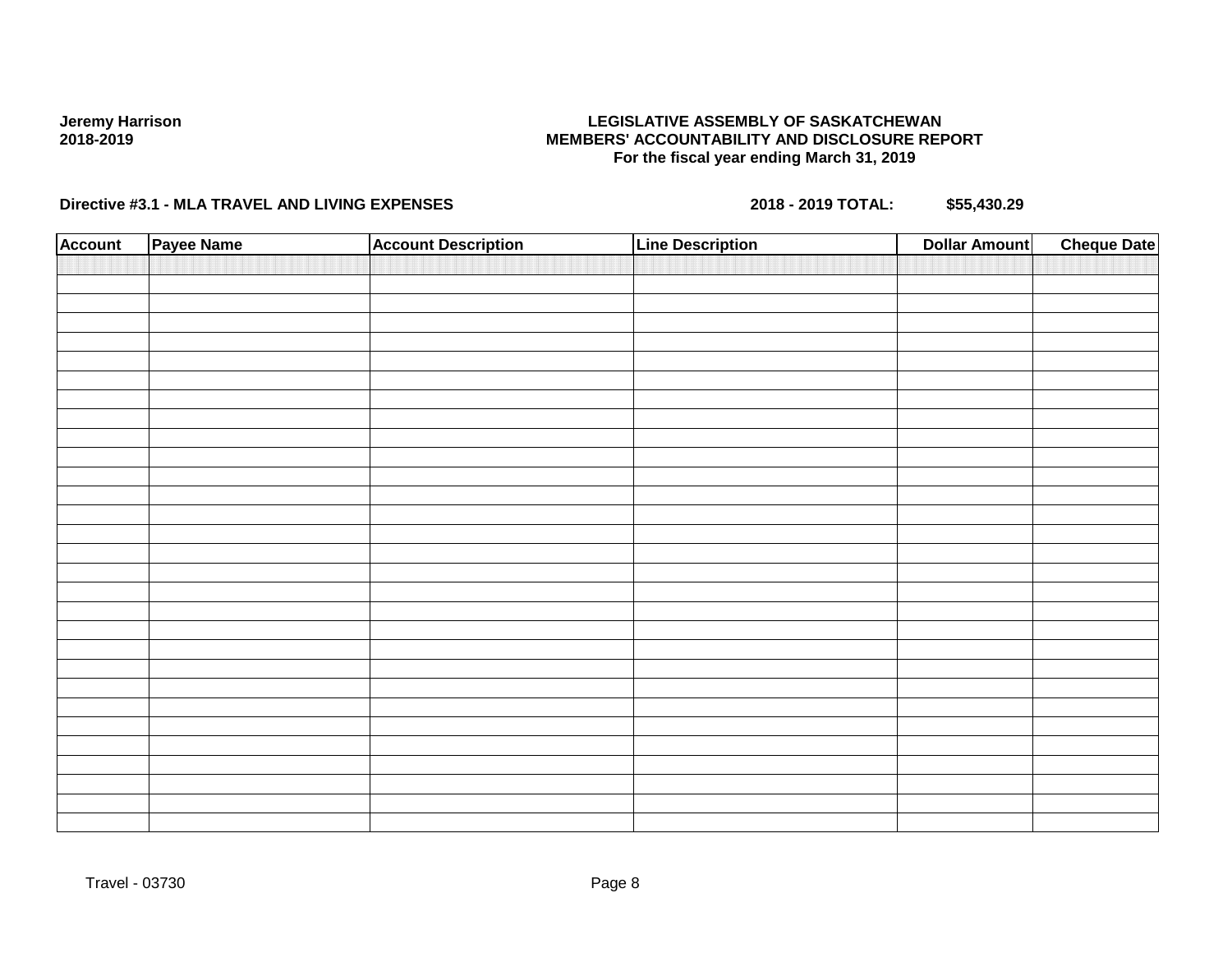## **LEGISLATIVE ASSEMBLY OF SASKATCHEWAN MEMBERS' ACCOUNTABILITY AND DISCLOSURE REPORT For the fiscal year ending March 31, 2019**

| <b>Account</b> | Payee Name | <b>Account Description</b> | <b>Line Description</b> | <b>Cheque Date</b><br><b>Dollar Amount</b> |  |
|----------------|------------|----------------------------|-------------------------|--------------------------------------------|--|
|                |            |                            |                         |                                            |  |
|                |            |                            |                         |                                            |  |
|                |            |                            |                         |                                            |  |
|                |            |                            |                         |                                            |  |
|                |            |                            |                         |                                            |  |
|                |            |                            |                         |                                            |  |
|                |            |                            |                         |                                            |  |
|                |            |                            |                         |                                            |  |
|                |            |                            |                         |                                            |  |
|                |            |                            |                         |                                            |  |
|                |            |                            |                         |                                            |  |
|                |            |                            |                         |                                            |  |
|                |            |                            |                         |                                            |  |
|                |            |                            |                         |                                            |  |
|                |            |                            |                         |                                            |  |
|                |            |                            |                         |                                            |  |
|                |            |                            |                         |                                            |  |
|                |            |                            |                         |                                            |  |
|                |            |                            |                         |                                            |  |
|                |            |                            |                         |                                            |  |
|                |            |                            |                         |                                            |  |
|                |            |                            |                         |                                            |  |
|                |            |                            |                         |                                            |  |
|                |            |                            |                         |                                            |  |
|                |            |                            |                         |                                            |  |
|                |            |                            |                         |                                            |  |
|                |            |                            |                         |                                            |  |
|                |            |                            |                         |                                            |  |
|                |            |                            |                         |                                            |  |
|                |            |                            |                         |                                            |  |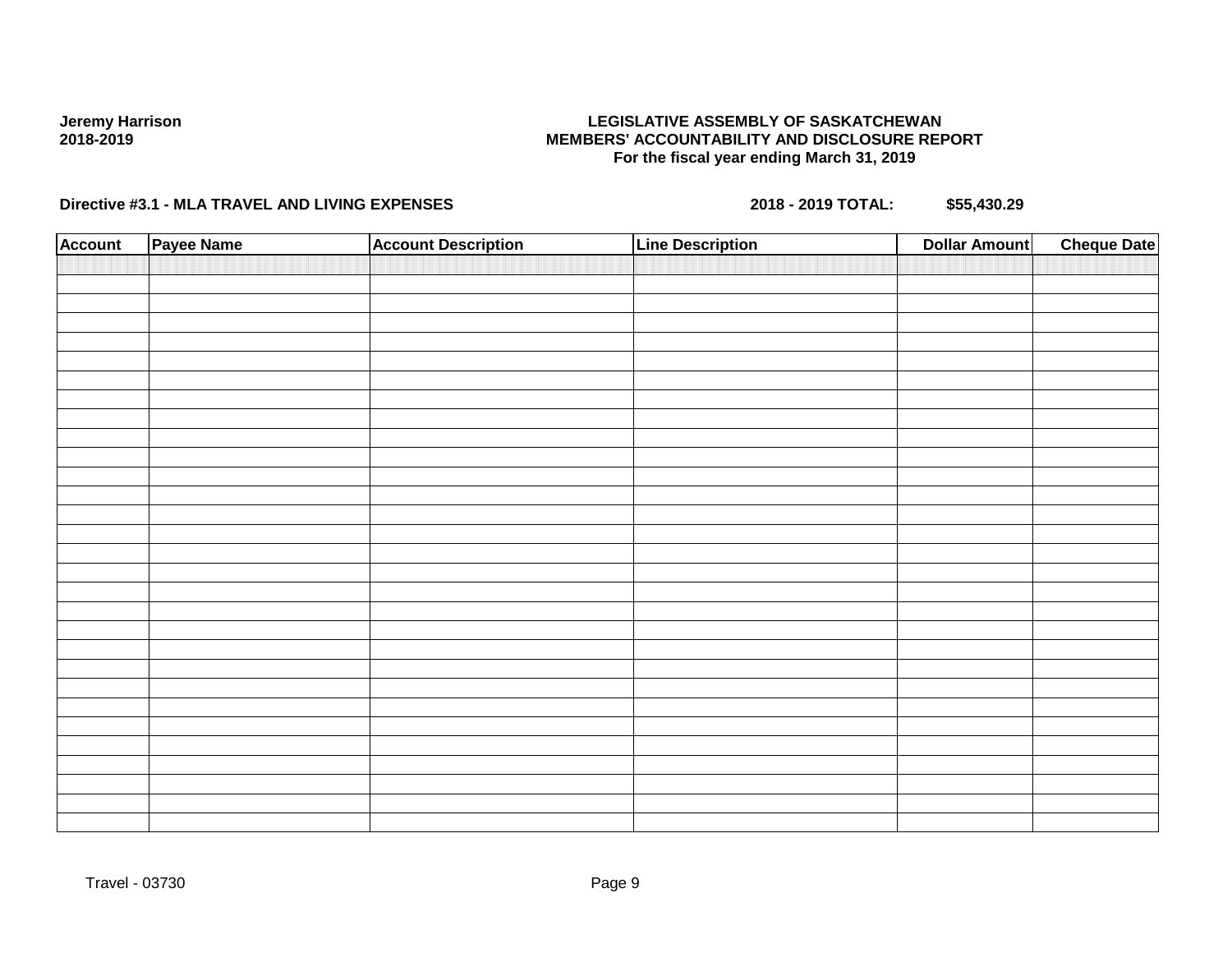## **LEGISLATIVE ASSEMBLY OF SASKATCHEWAN MEMBERS' ACCOUNTABILITY AND DISCLOSURE REPORT For the fiscal year ending March 31, 2019**

| <b>Account</b> | Payee Name | <b>Account Description</b> | <b>Line Description</b> | <b>Cheque Date</b><br><b>Dollar Amount</b> |
|----------------|------------|----------------------------|-------------------------|--------------------------------------------|
|                |            |                            |                         |                                            |
|                |            |                            |                         |                                            |
|                |            |                            |                         |                                            |
|                |            |                            |                         |                                            |
|                |            |                            |                         |                                            |
|                |            |                            |                         |                                            |
|                |            |                            |                         |                                            |
|                |            |                            |                         |                                            |
|                |            |                            |                         |                                            |
|                |            |                            |                         |                                            |
|                |            |                            |                         |                                            |
|                |            |                            |                         |                                            |
|                |            |                            |                         |                                            |
|                |            |                            |                         |                                            |
|                |            |                            |                         |                                            |
|                |            |                            |                         |                                            |
|                |            |                            |                         |                                            |
|                |            |                            |                         |                                            |
|                |            |                            |                         |                                            |
|                |            |                            |                         |                                            |
|                |            |                            |                         |                                            |
|                |            |                            |                         |                                            |
|                |            |                            |                         |                                            |
|                |            |                            |                         |                                            |
|                |            |                            |                         |                                            |
|                |            |                            |                         |                                            |
|                |            |                            |                         |                                            |
|                |            |                            |                         |                                            |
|                |            |                            |                         |                                            |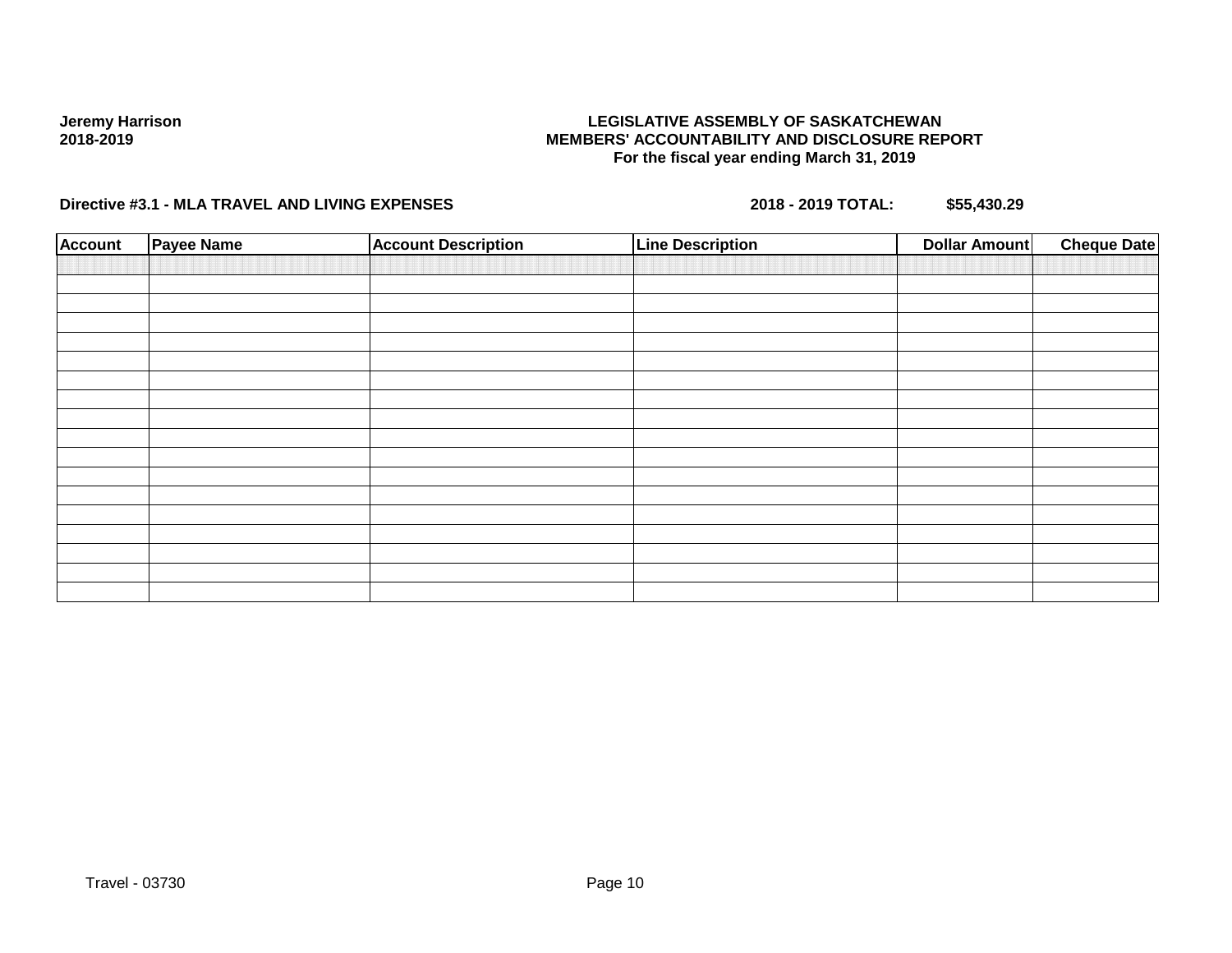## **LEGISLATIVE ASSEMBLY OF SASKATCHEWAN MEMBERS' ACCOUNTABILITY AND DISCLOSURE REPORT For the fiscal year ending March 31, 2019**

| <b>Account</b> | <b>Payee Name</b> | <b>Account Description</b> | <b>Line Description</b> | <b>Dollar Amount</b> | <b>Cheque Date</b> |
|----------------|-------------------|----------------------------|-------------------------|----------------------|--------------------|
|                |                   |                            |                         |                      |                    |
|                |                   |                            |                         |                      |                    |
|                |                   |                            |                         |                      |                    |
|                |                   |                            |                         |                      |                    |
|                |                   |                            |                         |                      |                    |
|                |                   |                            |                         |                      |                    |
|                |                   |                            |                         |                      |                    |
|                |                   |                            |                         |                      |                    |
|                |                   |                            |                         |                      |                    |
|                |                   |                            |                         |                      |                    |
|                |                   |                            |                         |                      |                    |
|                |                   |                            |                         |                      |                    |
|                |                   |                            |                         |                      |                    |
|                |                   |                            |                         |                      |                    |
|                |                   |                            |                         |                      |                    |
|                |                   |                            |                         |                      |                    |
|                |                   |                            |                         |                      |                    |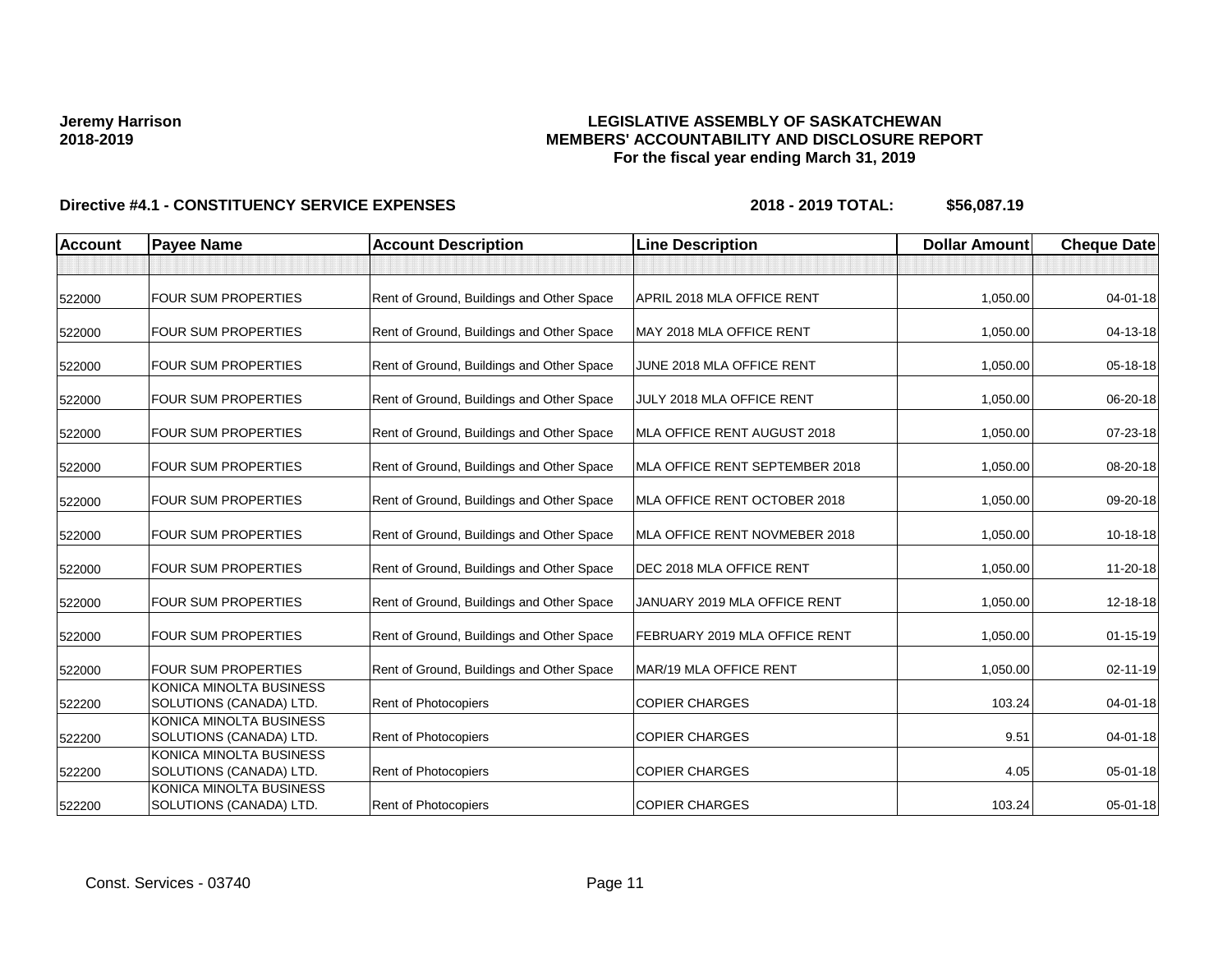## **LEGISLATIVE ASSEMBLY OF SASKATCHEWAN MEMBERS' ACCOUNTABILITY AND DISCLOSURE REPORT For the fiscal year ending March 31, 2019**

| <b>Account</b> | <b>Payee Name</b>                                         | <b>Account Description</b>                | <b>Line Description</b>        | <b>Dollar Amount</b> | <b>Cheque Date</b> |
|----------------|-----------------------------------------------------------|-------------------------------------------|--------------------------------|----------------------|--------------------|
|                |                                                           |                                           |                                |                      |                    |
| 522000         | <b>FOUR SUM PROPERTIES</b>                                | Rent of Ground, Buildings and Other Space | APRIL 2018 MLA OFFICE RENT     | 1,050.00             | 04-01-18           |
| 522000         | <b>FOUR SUM PROPERTIES</b>                                | Rent of Ground, Buildings and Other Space | MAY 2018 MLA OFFICE RENT       | 1,050.00             | 04-13-18           |
| 522000         | <b>FOUR SUM PROPERTIES</b>                                | Rent of Ground, Buildings and Other Space | JUNE 2018 MLA OFFICE RENT      | 1,050.00             | 05-18-18           |
| 522000         | <b>FOUR SUM PROPERTIES</b>                                | Rent of Ground, Buildings and Other Space | JULY 2018 MLA OFFICE RENT      | 1,050.00             | 06-20-18           |
| 522000         | <b>FOUR SUM PROPERTIES</b>                                | Rent of Ground, Buildings and Other Space | MLA OFFICE RENT AUGUST 2018    | 1,050.00             | 07-23-18           |
| 522000         | <b>FOUR SUM PROPERTIES</b>                                | Rent of Ground, Buildings and Other Space | MLA OFFICE RENT SEPTEMBER 2018 | 1,050.00             | 08-20-18           |
| 522000         | <b>FOUR SUM PROPERTIES</b>                                | Rent of Ground, Buildings and Other Space | MLA OFFICE RENT OCTOBER 2018   | 1,050.00             | 09-20-18           |
| 522000         | <b>FOUR SUM PROPERTIES</b>                                | Rent of Ground, Buildings and Other Space | MLA OFFICE RENT NOVMEBER 2018  | 1,050.00             | $10-18-18$         |
| 522000         | <b>FOUR SUM PROPERTIES</b>                                | Rent of Ground, Buildings and Other Space | DEC 2018 MLA OFFICE RENT       | 1,050.00             | 11-20-18           |
| 522000         | <b>FOUR SUM PROPERTIES</b>                                | Rent of Ground, Buildings and Other Space | JANUARY 2019 MLA OFFICE RENT   | 1,050.00             | 12-18-18           |
| 522000         | <b>FOUR SUM PROPERTIES</b>                                | Rent of Ground, Buildings and Other Space | FEBRUARY 2019 MLA OFFICE RENT  | 1,050.00             | $01 - 15 - 19$     |
| 522000         | <b>FOUR SUM PROPERTIES</b>                                | Rent of Ground, Buildings and Other Space | MAR/19 MLA OFFICE RENT         | 1,050.00             | 02-11-19           |
| 522200         | KONICA MINOLTA BUSINESS<br><b>SOLUTIONS (CANADA) LTD.</b> | <b>Rent of Photocopiers</b>               | <b>COPIER CHARGES</b>          | 103.24               | 04-01-18           |
| 522200         | KONICA MINOLTA BUSINESS<br>SOLUTIONS (CANADA) LTD.        | Rent of Photocopiers                      | <b>COPIER CHARGES</b>          | 9.51                 | 04-01-18           |
| 522200         | KONICA MINOLTA BUSINESS<br>SOLUTIONS (CANADA) LTD.        | Rent of Photocopiers                      | <b>COPIER CHARGES</b>          | 4.05                 | 05-01-18           |
| 522200         | KONICA MINOLTA BUSINESS<br>SOLUTIONS (CANADA) LTD.        | Rent of Photocopiers                      | <b>COPIER CHARGES</b>          | 103.24               | 05-01-18           |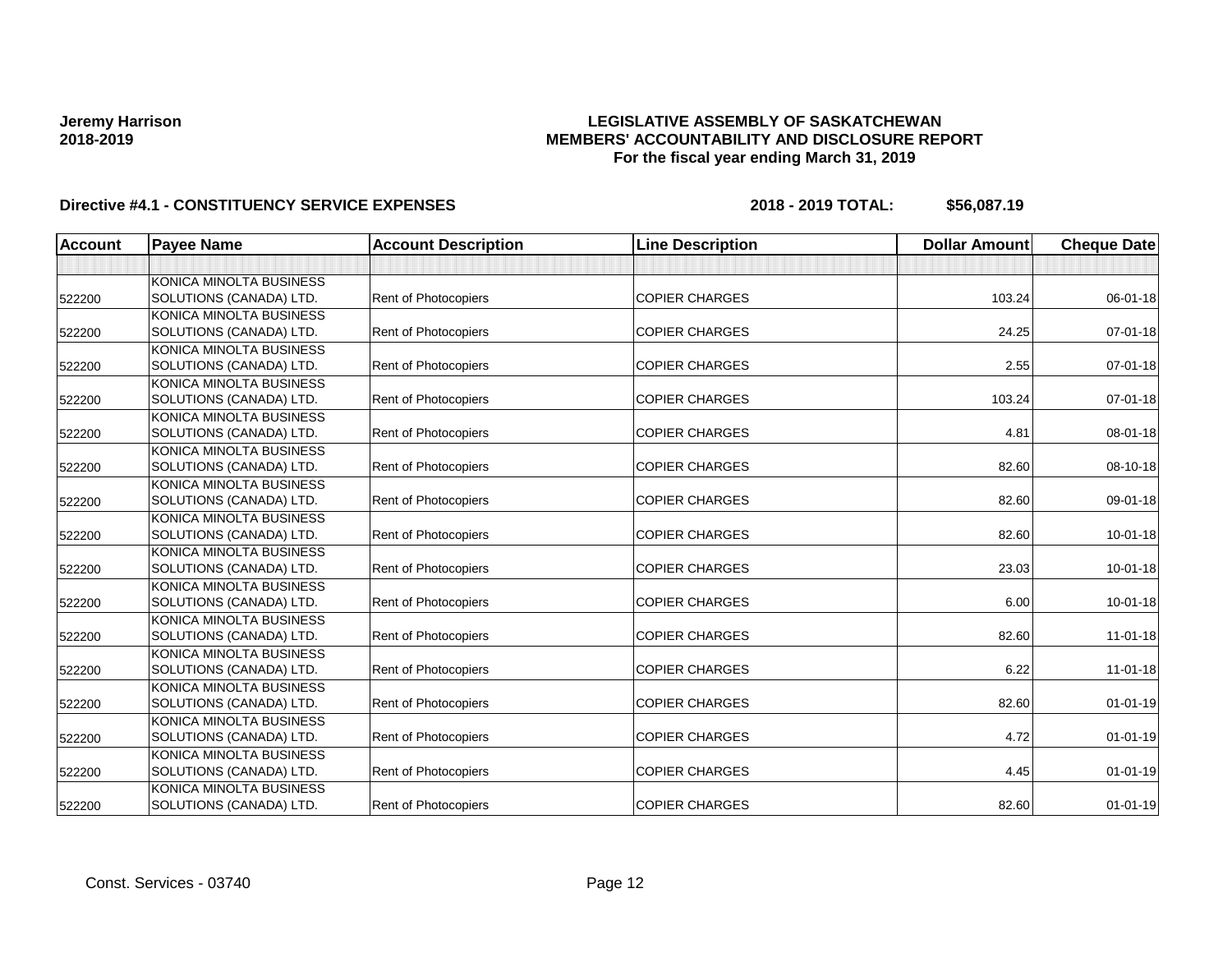## **LEGISLATIVE ASSEMBLY OF SASKATCHEWAN MEMBERS' ACCOUNTABILITY AND DISCLOSURE REPORT For the fiscal year ending March 31, 2019**

| <b>Account</b> | <b>Payee Name</b>       | <b>Account Description</b>  | <b>Line Description</b> | <b>Dollar Amount</b> | <b>Cheque Date</b> |
|----------------|-------------------------|-----------------------------|-------------------------|----------------------|--------------------|
|                |                         |                             |                         |                      |                    |
|                | KONICA MINOLTA BUSINESS |                             |                         |                      |                    |
| 522200         | SOLUTIONS (CANADA) LTD. | <b>Rent of Photocopiers</b> | <b>COPIER CHARGES</b>   | 103.24               | 06-01-18           |
|                | KONICA MINOLTA BUSINESS |                             |                         |                      |                    |
| 522200         | SOLUTIONS (CANADA) LTD. | Rent of Photocopiers        | <b>COPIER CHARGES</b>   | 24.25                | $07 - 01 - 18$     |
|                | KONICA MINOLTA BUSINESS |                             |                         |                      |                    |
| 522200         | SOLUTIONS (CANADA) LTD. | <b>Rent of Photocopiers</b> | <b>COPIER CHARGES</b>   | 2.55                 | $07 - 01 - 18$     |
|                | KONICA MINOLTA BUSINESS |                             |                         |                      |                    |
| 522200         | SOLUTIONS (CANADA) LTD. | <b>Rent of Photocopiers</b> | <b>COPIER CHARGES</b>   | 103.24               | $07 - 01 - 18$     |
|                | KONICA MINOLTA BUSINESS |                             |                         |                      |                    |
| 522200         | SOLUTIONS (CANADA) LTD. | Rent of Photocopiers        | <b>COPIER CHARGES</b>   | 4.81                 | 08-01-18           |
|                | KONICA MINOLTA BUSINESS |                             |                         |                      |                    |
| 522200         | SOLUTIONS (CANADA) LTD. | <b>Rent of Photocopiers</b> | <b>COPIER CHARGES</b>   | 82.60                | 08-10-18           |
|                | KONICA MINOLTA BUSINESS |                             |                         |                      |                    |
| 522200         | SOLUTIONS (CANADA) LTD. | Rent of Photocopiers        | <b>COPIER CHARGES</b>   | 82.60                | 09-01-18           |
|                | KONICA MINOLTA BUSINESS |                             |                         |                      |                    |
| 522200         | SOLUTIONS (CANADA) LTD. | <b>Rent of Photocopiers</b> | <b>COPIER CHARGES</b>   | 82.60                | $10 - 01 - 18$     |
|                | KONICA MINOLTA BUSINESS |                             |                         |                      |                    |
| 522200         | SOLUTIONS (CANADA) LTD. | Rent of Photocopiers        | <b>COPIER CHARGES</b>   | 23.03                | $10 - 01 - 18$     |
|                | KONICA MINOLTA BUSINESS |                             |                         |                      |                    |
| 522200         | SOLUTIONS (CANADA) LTD. | Rent of Photocopiers        | <b>COPIER CHARGES</b>   | 6.00                 | $10 - 01 - 18$     |
|                | KONICA MINOLTA BUSINESS |                             |                         |                      |                    |
| 522200         | SOLUTIONS (CANADA) LTD. | <b>Rent of Photocopiers</b> | <b>COPIER CHARGES</b>   | 82.60                | $11-01-18$         |
|                | KONICA MINOLTA BUSINESS |                             |                         |                      |                    |
| 522200         | SOLUTIONS (CANADA) LTD. | Rent of Photocopiers        | <b>COPIER CHARGES</b>   | 6.22                 | $11 - 01 - 18$     |
|                | KONICA MINOLTA BUSINESS |                             |                         |                      |                    |
| 522200         | SOLUTIONS (CANADA) LTD. | Rent of Photocopiers        | <b>COPIER CHARGES</b>   | 82.60                | $01 - 01 - 19$     |
|                | KONICA MINOLTA BUSINESS |                             |                         |                      |                    |
| 522200         | SOLUTIONS (CANADA) LTD. | <b>Rent of Photocopiers</b> | <b>COPIER CHARGES</b>   | 4.72                 | $01 - 01 - 19$     |
|                | KONICA MINOLTA BUSINESS |                             |                         |                      |                    |
| 522200         | SOLUTIONS (CANADA) LTD. | <b>Rent of Photocopiers</b> | <b>COPIER CHARGES</b>   | 4.45                 | $01 - 01 - 19$     |
|                | KONICA MINOLTA BUSINESS |                             |                         |                      |                    |
| 522200         | SOLUTIONS (CANADA) LTD. | <b>Rent of Photocopiers</b> | <b>COPIER CHARGES</b>   | 82.60                | $01 - 01 - 19$     |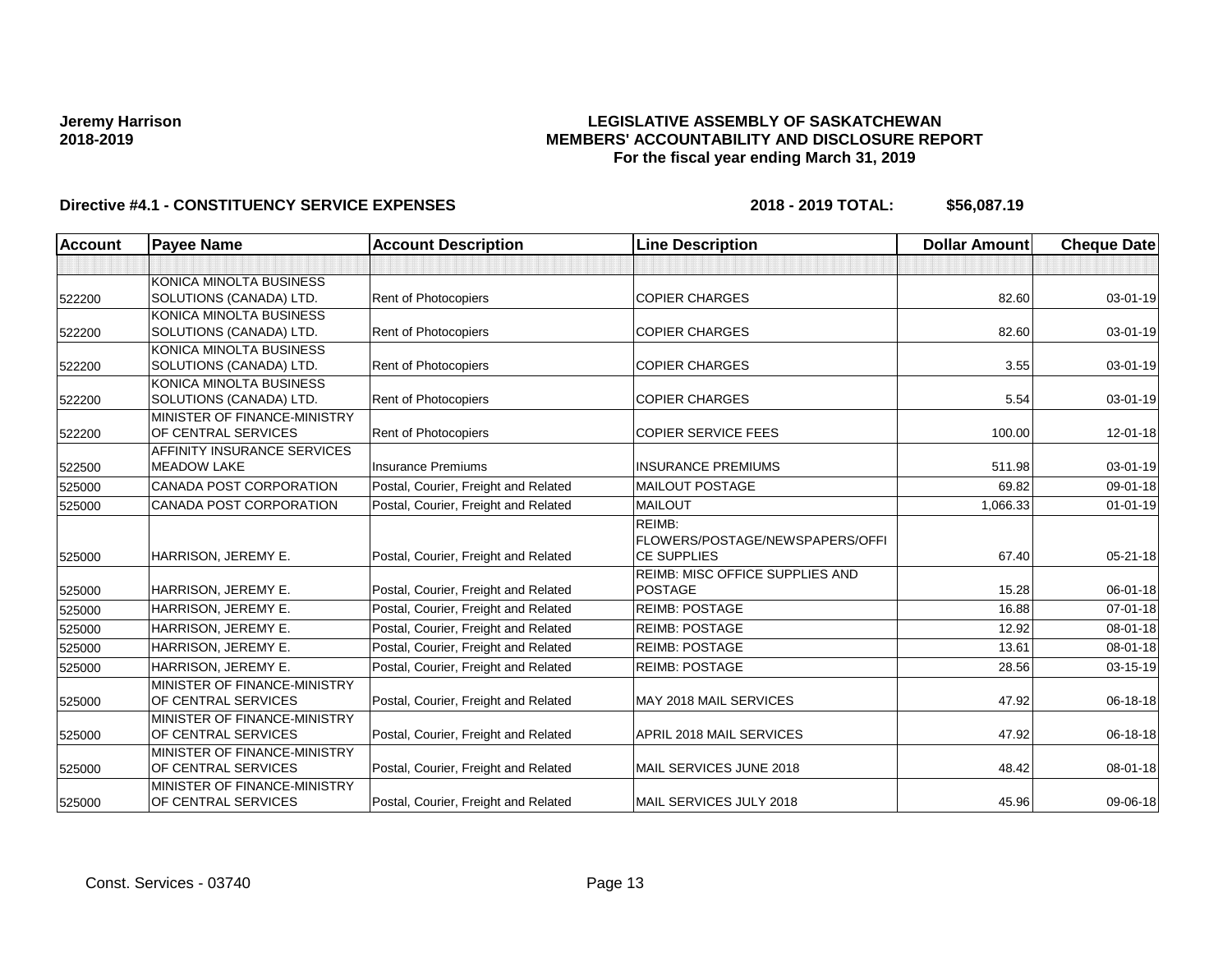## **LEGISLATIVE ASSEMBLY OF SASKATCHEWAN MEMBERS' ACCOUNTABILITY AND DISCLOSURE REPORT For the fiscal year ending March 31, 2019**

| <b>Account</b> | <b>Payee Name</b>            | <b>Account Description</b>           | <b>Line Description</b>                | <b>Dollar Amount</b> | <b>Cheque Date</b> |
|----------------|------------------------------|--------------------------------------|----------------------------------------|----------------------|--------------------|
|                |                              |                                      |                                        |                      |                    |
|                | KONICA MINOLTA BUSINESS      |                                      |                                        |                      |                    |
| 522200         | SOLUTIONS (CANADA) LTD.      | Rent of Photocopiers                 | <b>COPIER CHARGES</b>                  | 82.60                | 03-01-19           |
|                | KONICA MINOLTA BUSINESS      |                                      |                                        |                      |                    |
| 522200         | SOLUTIONS (CANADA) LTD.      | Rent of Photocopiers                 | <b>COPIER CHARGES</b>                  | 82.60                | 03-01-19           |
|                | KONICA MINOLTA BUSINESS      |                                      |                                        |                      |                    |
| 522200         | SOLUTIONS (CANADA) LTD.      | <b>Rent of Photocopiers</b>          | <b>COPIER CHARGES</b>                  | 3.55                 | 03-01-19           |
|                | KONICA MINOLTA BUSINESS      |                                      |                                        |                      |                    |
| 522200         | SOLUTIONS (CANADA) LTD.      | Rent of Photocopiers                 | <b>COPIER CHARGES</b>                  | 5.54                 | 03-01-19           |
|                | MINISTER OF FINANCE-MINISTRY |                                      |                                        |                      |                    |
| 522200         | OF CENTRAL SERVICES          | <b>Rent of Photocopiers</b>          | <b>COPIER SERVICE FEES</b>             | 100.00               | 12-01-18           |
|                | AFFINITY INSURANCE SERVICES  |                                      |                                        |                      |                    |
| 522500         | <b>MEADOW LAKE</b>           | <b>Insurance Premiums</b>            | <b>INSURANCE PREMIUMS</b>              | 511.98               | 03-01-19           |
| 525000         | CANADA POST CORPORATION      | Postal, Courier, Freight and Related | <b>MAILOUT POSTAGE</b>                 | 69.82                | 09-01-18           |
| 525000         | CANADA POST CORPORATION      | Postal, Courier, Freight and Related | <b>MAILOUT</b>                         | 1,066.33             | $01 - 01 - 19$     |
|                |                              |                                      | REIMB:                                 |                      |                    |
|                |                              |                                      | <b>FLOWERS/POSTAGE/NEWSPAPERS/OFFI</b> |                      |                    |
| 525000         | HARRISON, JEREMY E.          | Postal, Courier, Freight and Related | <b>CE SUPPLIES</b>                     | 67.40                | $05 - 21 - 18$     |
|                |                              |                                      | <b>REIMB: MISC OFFICE SUPPLIES AND</b> |                      |                    |
| 525000         | HARRISON, JEREMY E.          | Postal, Courier, Freight and Related | <b>POSTAGE</b>                         | 15.28                | 06-01-18           |
| 525000         | HARRISON, JEREMY E.          | Postal, Courier, Freight and Related | <b>REIMB: POSTAGE</b>                  | 16.88                | $07 - 01 - 18$     |
| 525000         | HARRISON, JEREMY E.          | Postal, Courier, Freight and Related | <b>REIMB: POSTAGE</b>                  | 12.92                | 08-01-18           |
| 525000         | HARRISON, JEREMY E.          | Postal, Courier, Freight and Related | <b>REIMB: POSTAGE</b>                  | 13.61                | 08-01-18           |
| 525000         | HARRISON, JEREMY E.          | Postal, Courier, Freight and Related | <b>REIMB: POSTAGE</b>                  | 28.56                | 03-15-19           |
|                | MINISTER OF FINANCE-MINISTRY |                                      |                                        |                      |                    |
| 525000         | OF CENTRAL SERVICES          | Postal, Courier, Freight and Related | MAY 2018 MAIL SERVICES                 | 47.92                | 06-18-18           |
|                | MINISTER OF FINANCE-MINISTRY |                                      |                                        |                      |                    |
| 525000         | OF CENTRAL SERVICES          | Postal, Courier, Freight and Related | APRIL 2018 MAIL SERVICES               | 47.92                | 06-18-18           |
|                | MINISTER OF FINANCE-MINISTRY |                                      |                                        |                      |                    |
| 525000         | OF CENTRAL SERVICES          | Postal, Courier, Freight and Related | MAIL SERVICES JUNE 2018                | 48.42                | 08-01-18           |
|                | MINISTER OF FINANCE-MINISTRY |                                      |                                        |                      |                    |
| 525000         | OF CENTRAL SERVICES          | Postal, Courier, Freight and Related | MAIL SERVICES JULY 2018                | 45.96                | 09-06-18           |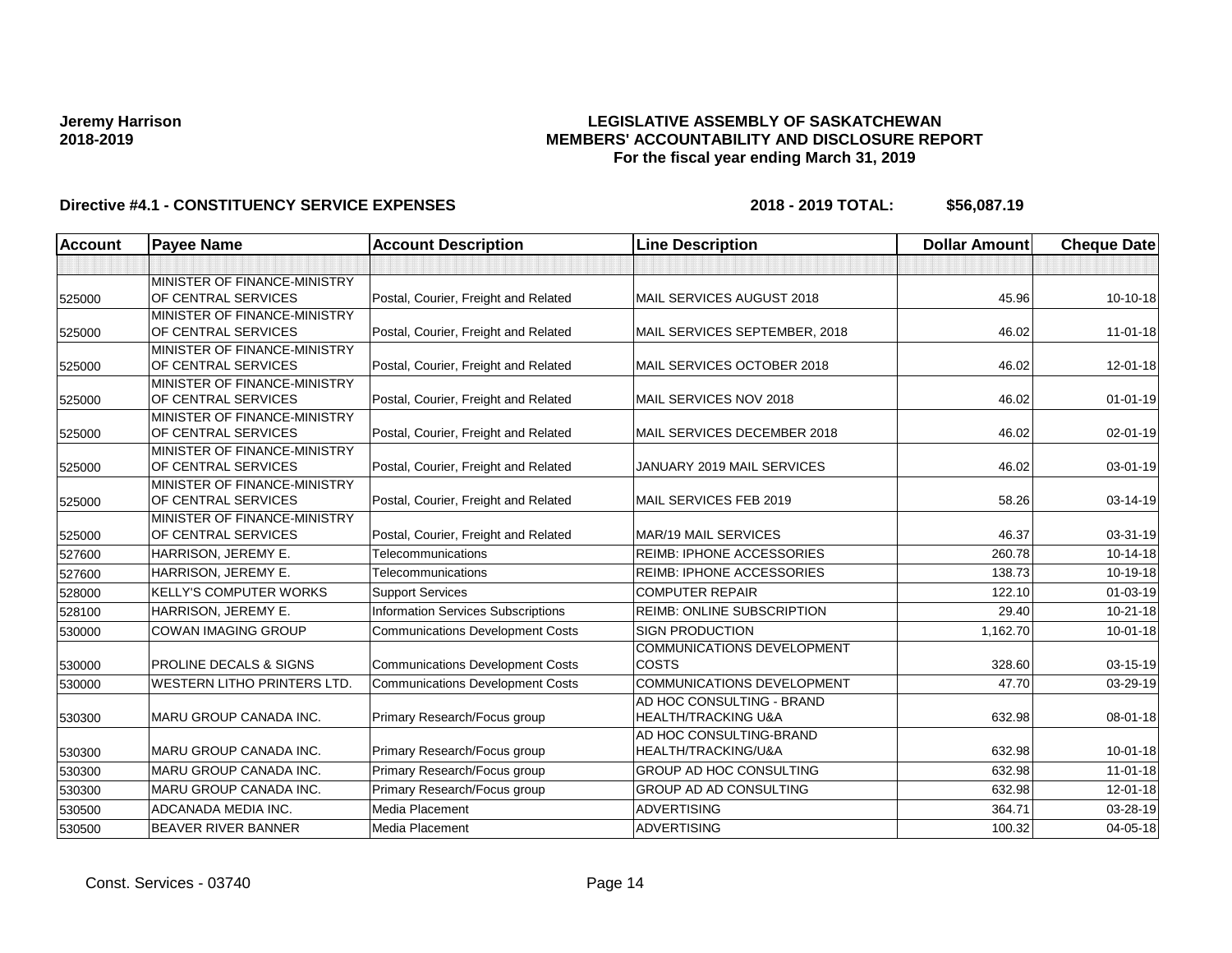## **LEGISLATIVE ASSEMBLY OF SASKATCHEWAN MEMBERS' ACCOUNTABILITY AND DISCLOSURE REPORT For the fiscal year ending March 31, 2019**

| Account | <b>Payee Name</b>                                          | <b>Account Description</b>                | <b>Line Description</b>                                     | <b>Dollar Amount</b> | <b>Cheque Date</b> |
|---------|------------------------------------------------------------|-------------------------------------------|-------------------------------------------------------------|----------------------|--------------------|
|         |                                                            |                                           |                                                             |                      |                    |
| 525000  | MINISTER OF FINANCE-MINISTRY<br><b>OF CENTRAL SERVICES</b> | Postal, Courier, Freight and Related      | MAIL SERVICES AUGUST 2018                                   | 45.96                | 10-10-18           |
| 525000  | MINISTER OF FINANCE-MINISTRY<br>OF CENTRAL SERVICES        | Postal, Courier, Freight and Related      | MAIL SERVICES SEPTEMBER, 2018                               | 46.02                | $11 - 01 - 18$     |
| 525000  | MINISTER OF FINANCE-MINISTRY<br>OF CENTRAL SERVICES        | Postal, Courier, Freight and Related      | MAIL SERVICES OCTOBER 2018                                  | 46.02                | $12 - 01 - 18$     |
| 525000  | MINISTER OF FINANCE-MINISTRY<br>OF CENTRAL SERVICES        | Postal, Courier, Freight and Related      | MAIL SERVICES NOV 2018                                      | 46.02                | $01 - 01 - 19$     |
| 525000  | MINISTER OF FINANCE-MINISTRY<br>OF CENTRAL SERVICES        | Postal, Courier, Freight and Related      | MAIL SERVICES DECEMBER 2018                                 | 46.02                | $02 - 01 - 19$     |
| 525000  | MINISTER OF FINANCE-MINISTRY<br>OF CENTRAL SERVICES        | Postal, Courier, Freight and Related      | JANUARY 2019 MAIL SERVICES                                  | 46.02                | 03-01-19           |
| 525000  | MINISTER OF FINANCE-MINISTRY<br>OF CENTRAL SERVICES        | Postal, Courier, Freight and Related      | MAIL SERVICES FEB 2019                                      | 58.26                | 03-14-19           |
| 525000  | MINISTER OF FINANCE-MINISTRY<br>OF CENTRAL SERVICES        | Postal, Courier, Freight and Related      | MAR/19 MAIL SERVICES                                        | 46.37                | 03-31-19           |
| 527600  | HARRISON, JEREMY E.                                        | Telecommunications                        | <b>REIMB: IPHONE ACCESSORIES</b>                            | 260.78               | 10-14-18           |
| 527600  | HARRISON, JEREMY E.                                        | Telecommunications                        | <b>REIMB: IPHONE ACCESSORIES</b>                            | 138.73               | 10-19-18           |
| 528000  | <b>KELLY'S COMPUTER WORKS</b>                              | <b>Support Services</b>                   | <b>COMPUTER REPAIR</b>                                      | 122.10               | $01 - 03 - 19$     |
| 528100  | HARRISON, JEREMY E.                                        | <b>Information Services Subscriptions</b> | <b>REIMB: ONLINE SUBSCRIPTION</b>                           | 29.40                | $10 - 21 - 18$     |
| 530000  | <b>COWAN IMAGING GROUP</b>                                 | <b>Communications Development Costs</b>   | <b>SIGN PRODUCTION</b>                                      | 1.162.70             | $10 - 01 - 18$     |
| 530000  | <b>PROLINE DECALS &amp; SIGNS</b>                          | <b>Communications Development Costs</b>   | <b>COMMUNICATIONS DEVELOPMENT</b><br><b>COSTS</b>           | 328.60               | 03-15-19           |
| 530000  | <b>WESTERN LITHO PRINTERS LTD.</b>                         | <b>Communications Development Costs</b>   | <b>COMMUNICATIONS DEVELOPMENT</b>                           | 47.70                | 03-29-19           |
| 530300  | MARU GROUP CANADA INC.                                     | Primary Research/Focus group              | AD HOC CONSULTING - BRAND<br><b>HEALTH/TRACKING U&amp;A</b> | 632.98               | 08-01-18           |
| 530300  | <b>MARU GROUP CANADA INC.</b>                              | Primary Research/Focus group              | AD HOC CONSULTING-BRAND<br>HEALTH/TRACKING/U&A              | 632.98               | $10 - 01 - 18$     |
| 530300  | <b>MARU GROUP CANADA INC.</b>                              | Primary Research/Focus group              | <b>GROUP AD HOC CONSULTING</b>                              | 632.98               | $11 - 01 - 18$     |
| 530300  | MARU GROUP CANADA INC.                                     | Primary Research/Focus group              | GROUP AD AD CONSULTING                                      | 632.98               | $12 - 01 - 18$     |
| 530500  | ADCANADA MEDIA INC.                                        | <b>Media Placement</b>                    | <b>ADVERTISING</b>                                          | 364.71               | 03-28-19           |
| 530500  | <b>BEAVER RIVER BANNER</b>                                 | <b>Media Placement</b>                    | <b>ADVERTISING</b>                                          | 100.32               | $04 - 05 - 18$     |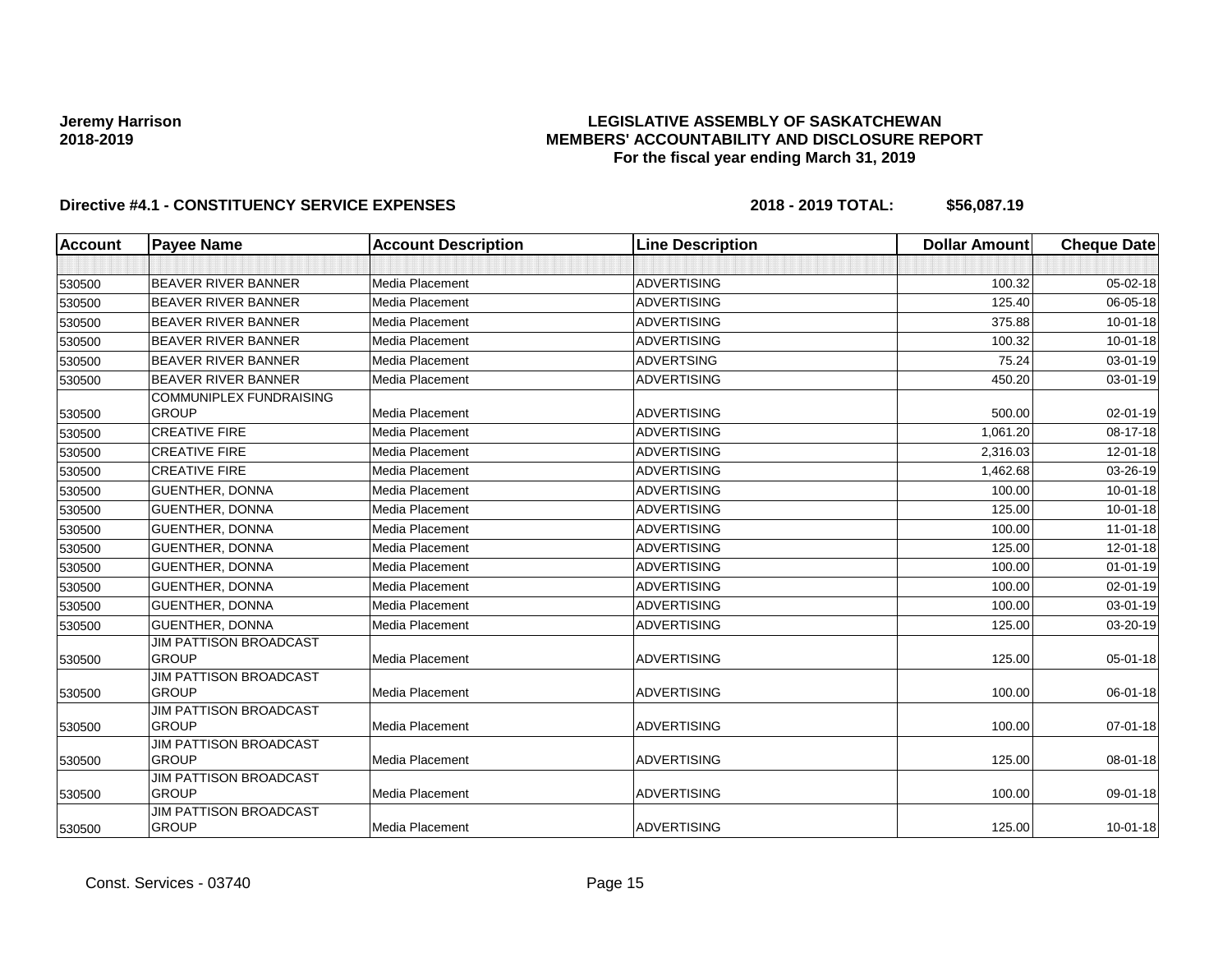## **LEGISLATIVE ASSEMBLY OF SASKATCHEWAN MEMBERS' ACCOUNTABILITY AND DISCLOSURE REPORT For the fiscal year ending March 31, 2019**

| <b>Account</b> | <b>Payee Name</b>                      | <b>Account Description</b> | <b>Line Description</b> | <b>Dollar Amount</b> | <b>Cheque Date</b> |
|----------------|----------------------------------------|----------------------------|-------------------------|----------------------|--------------------|
|                |                                        |                            |                         |                      |                    |
| 530500         | <b>BEAVER RIVER BANNER</b>             | Media Placement            | <b>ADVERTISING</b>      | 100.32               | $05 - 02 - 18$     |
| 530500         | <b>BEAVER RIVER BANNER</b>             | Media Placement            | <b>ADVERTISING</b>      | 125.40               | 06-05-18           |
| 530500         | BEAVER RIVER BANNER                    | Media Placement            | <b>ADVERTISING</b>      | 375.88               | $10 - 01 - 18$     |
| 530500         | BEAVER RIVER BANNER                    | Media Placement            | <b>ADVERTISING</b>      | 100.32               | 10-01-18           |
| 530500         | <b>BEAVER RIVER BANNER</b>             | Media Placement            | <b>ADVERTSING</b>       | 75.24                | 03-01-19           |
| 530500         | <b>BEAVER RIVER BANNER</b>             | Media Placement            | <b>ADVERTISING</b>      | 450.20               | $03 - 01 - 19$     |
|                | <b>COMMUNIPLEX FUNDRAISING</b>         |                            |                         |                      |                    |
| 530500         | <b>GROUP</b>                           | Media Placement            | <b>ADVERTISING</b>      | 500.00               | 02-01-19           |
| 530500         | <b>CREATIVE FIRE</b>                   | Media Placement            | <b>ADVERTISING</b>      | 1,061.20             | 08-17-18           |
| 530500         | <b>CREATIVE FIRE</b>                   | Media Placement            | <b>ADVERTISING</b>      | 2,316.03             | 12-01-18           |
| 530500         | <b>CREATIVE FIRE</b>                   | Media Placement            | <b>ADVERTISING</b>      | 1,462.68             | 03-26-19           |
| 530500         | <b>GUENTHER, DONNA</b>                 | Media Placement            | <b>ADVERTISING</b>      | 100.00               | $10 - 01 - 18$     |
| 530500         | <b>GUENTHER, DONNA</b>                 | Media Placement            | <b>ADVERTISING</b>      | 125.00               | $10 - 01 - 18$     |
| 530500         | <b>GUENTHER, DONNA</b>                 | Media Placement            | <b>ADVERTISING</b>      | 100.00               | $11-01-18$         |
| 530500         | <b>GUENTHER, DONNA</b>                 | Media Placement            | <b>ADVERTISING</b>      | 125.00               | $12 - 01 - 18$     |
| 530500         | <b>GUENTHER, DONNA</b>                 | Media Placement            | <b>ADVERTISING</b>      | 100.00               | $01 - 01 - 19$     |
| 530500         | <b>GUENTHER, DONNA</b>                 | Media Placement            | <b>ADVERTISING</b>      | 100.00               | $02 - 01 - 19$     |
| 530500         | <b>GUENTHER, DONNA</b>                 | Media Placement            | <b>ADVERTISING</b>      | 100.00               | 03-01-19           |
| 530500         | GUENTHER, DONNA                        | Media Placement            | <b>ADVERTISING</b>      | 125.00               | 03-20-19           |
|                | <b>JIM PATTISON BROADCAST</b>          |                            |                         |                      |                    |
| 530500         | <b>GROUP</b>                           | Media Placement            | <b>ADVERTISING</b>      | 125.00               | 05-01-18           |
|                | <b>JIM PATTISON BROADCAST</b>          |                            |                         |                      |                    |
| 530500         | <b>GROUP</b>                           | Media Placement            | <b>ADVERTISING</b>      | 100.00               | 06-01-18           |
|                | JIM PATTISON BROADCAST<br><b>GROUP</b> | Media Placement            | <b>ADVERTISING</b>      | 100.00               | $07 - 01 - 18$     |
| 530500         | <b>JIM PATTISON BROADCAST</b>          |                            |                         |                      |                    |
| 530500         | <b>GROUP</b>                           | Media Placement            | <b>ADVERTISING</b>      | 125.00               | 08-01-18           |
|                | <b>JIM PATTISON BROADCAST</b>          |                            |                         |                      |                    |
| 530500         | <b>GROUP</b>                           | Media Placement            | <b>ADVERTISING</b>      | 100.00               | 09-01-18           |
|                | <b>JIM PATTISON BROADCAST</b>          |                            |                         |                      |                    |
| 530500         | <b>GROUP</b>                           | Media Placement            | <b>ADVERTISING</b>      | 125.00               | 10-01-18           |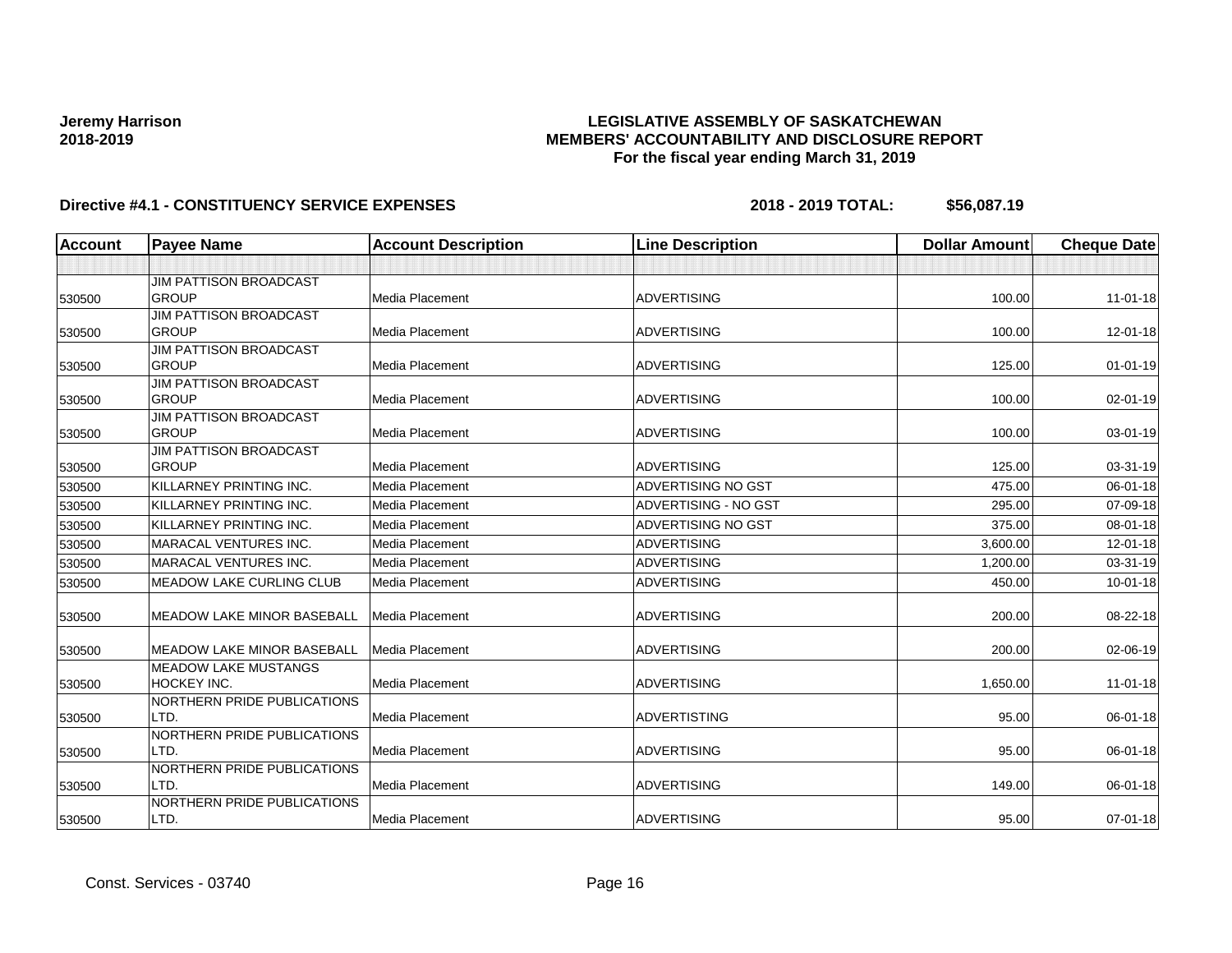## **LEGISLATIVE ASSEMBLY OF SASKATCHEWAN MEMBERS' ACCOUNTABILITY AND DISCLOSURE REPORT For the fiscal year ending March 31, 2019**

| Account | <b>Payee Name</b>                 | <b>Account Description</b> | <b>Line Description</b>   | <b>Dollar Amount</b> | <b>Cheque Date</b> |
|---------|-----------------------------------|----------------------------|---------------------------|----------------------|--------------------|
|         |                                   |                            |                           |                      |                    |
|         | JIM PATTISON BROADCAST            |                            |                           |                      |                    |
| 530500  | <b>GROUP</b>                      | Media Placement            | <b>ADVERTISING</b>        | 100.00               | $11 - 01 - 18$     |
|         | <b>JIM PATTISON BROADCAST</b>     |                            |                           |                      |                    |
| 530500  | <b>GROUP</b>                      | Media Placement            | <b>ADVERTISING</b>        | 100.00               | 12-01-18           |
|         | <b>JIM PATTISON BROADCAST</b>     |                            |                           |                      |                    |
| 530500  | <b>GROUP</b>                      | <b>Media Placement</b>     | <b>ADVERTISING</b>        | 125.00               | $01 - 01 - 19$     |
|         | <b>JIM PATTISON BROADCAST</b>     |                            |                           |                      |                    |
| 530500  | <b>GROUP</b>                      | <b>Media Placement</b>     | <b>ADVERTISING</b>        | 100.00               | 02-01-19           |
|         | <b>JIM PATTISON BROADCAST</b>     |                            |                           |                      |                    |
| 530500  | <b>GROUP</b>                      | Media Placement            | <b>ADVERTISING</b>        | 100.00               | 03-01-19           |
|         | <b>JIM PATTISON BROADCAST</b>     |                            |                           |                      |                    |
| 530500  | <b>GROUP</b>                      | Media Placement            | <b>ADVERTISING</b>        | 125.00               | 03-31-19           |
| 530500  | KILLARNEY PRINTING INC.           | Media Placement            | <b>ADVERTISING NO GST</b> | 475.00               | 06-01-18           |
| 530500  | KILLARNEY PRINTING INC.           | Media Placement            | ADVERTISING - NO GST      | 295.00               | 07-09-18           |
| 530500  | KILLARNEY PRINTING INC.           | Media Placement            | <b>ADVERTISING NO GST</b> | 375.00               | 08-01-18           |
| 530500  | <b>MARACAL VENTURES INC.</b>      | Media Placement            | <b>ADVERTISING</b>        | 3,600.00             | 12-01-18           |
| 530500  | <b>MARACAL VENTURES INC.</b>      | <b>Media Placement</b>     | <b>ADVERTISING</b>        | 1,200.00             | 03-31-19           |
| 530500  | <b>MEADOW LAKE CURLING CLUB</b>   | <b>Media Placement</b>     | <b>ADVERTISING</b>        | 450.00               | $10-01-18$         |
| 530500  | <b>MEADOW LAKE MINOR BASEBALL</b> | <b>Media Placement</b>     | <b>ADVERTISING</b>        | 200.00               | 08-22-18           |
| 530500  | <b>MEADOW LAKE MINOR BASEBALL</b> | Media Placement            | <b>ADVERTISING</b>        | 200.00               | 02-06-19           |
|         | <b>MEADOW LAKE MUSTANGS</b>       |                            |                           |                      |                    |
| 530500  | HOCKEY INC.                       | Media Placement            | <b>ADVERTISING</b>        | 1,650.00             | $11 - 01 - 18$     |
|         | NORTHERN PRIDE PUBLICATIONS       |                            |                           |                      |                    |
| 530500  | LTD.                              | <b>Media Placement</b>     | <b>ADVERTISTING</b>       | 95.00                | 06-01-18           |
|         | NORTHERN PRIDE PUBLICATIONS       |                            |                           |                      |                    |
| 530500  | LTD.                              | <b>Media Placement</b>     | <b>ADVERTISING</b>        | 95.00                | 06-01-18           |
|         | NORTHERN PRIDE PUBLICATIONS       |                            |                           |                      |                    |
| 530500  | LTD.                              | Media Placement            | <b>ADVERTISING</b>        | 149.00               | 06-01-18           |
|         | NORTHERN PRIDE PUBLICATIONS       |                            |                           |                      |                    |
| 530500  | LTD.                              | <b>Media Placement</b>     | <b>ADVERTISING</b>        | 95.00                | 07-01-18           |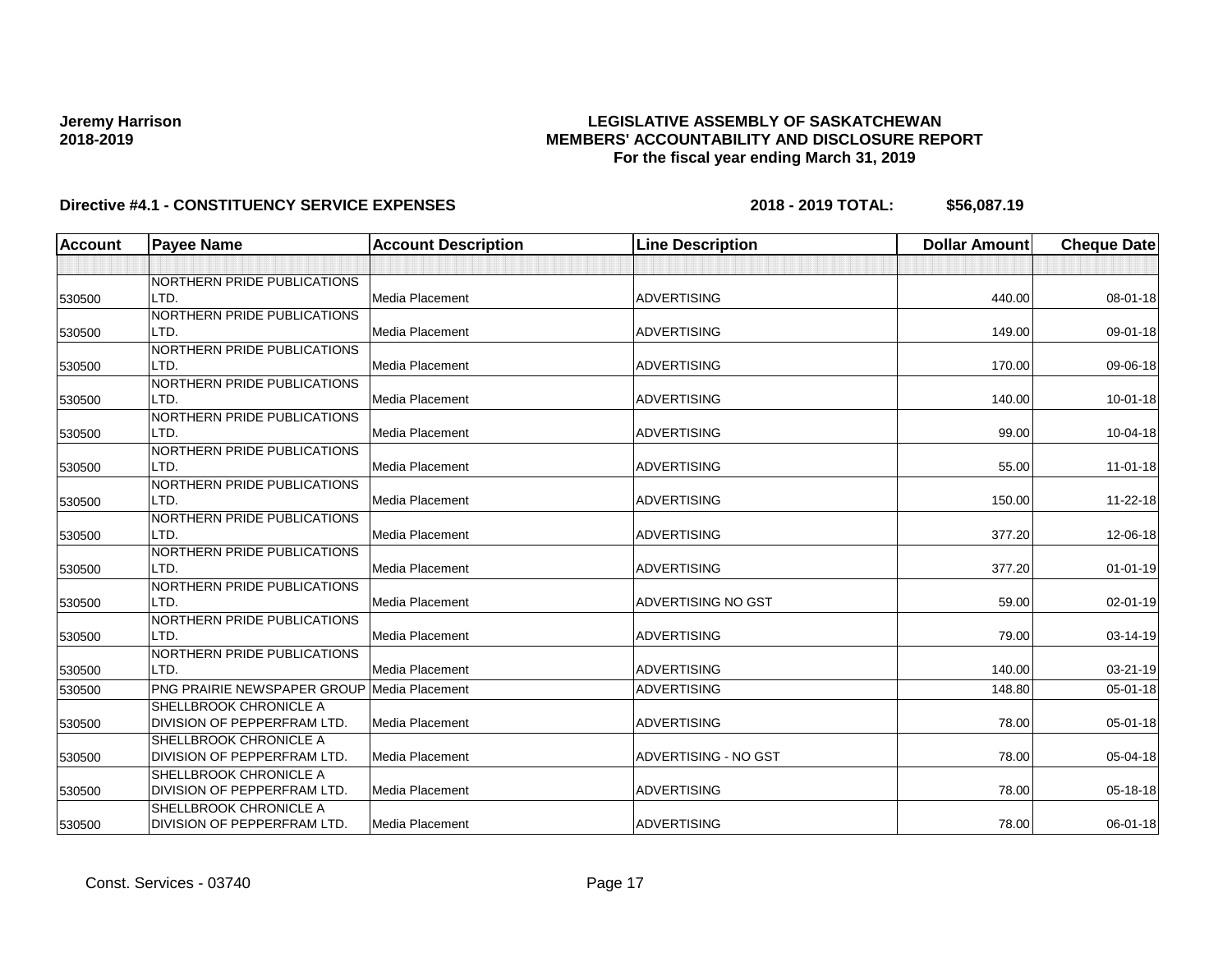## **LEGISLATIVE ASSEMBLY OF SASKATCHEWAN MEMBERS' ACCOUNTABILITY AND DISCLOSURE REPORT For the fiscal year ending March 31, 2019**

| <b>Account</b> | <b>Payee Name</b>                                  | <b>Account Description</b> | <b>Line Description</b> | <b>Dollar Amount</b> | <b>Cheque Date</b> |
|----------------|----------------------------------------------------|----------------------------|-------------------------|----------------------|--------------------|
|                |                                                    |                            |                         |                      |                    |
|                | NORTHERN PRIDE PUBLICATIONS                        |                            |                         |                      |                    |
| 530500         | LTD.                                               | Media Placement            | <b>ADVERTISING</b>      | 440.00               | 08-01-18           |
|                | NORTHERN PRIDE PUBLICATIONS                        |                            |                         |                      |                    |
| 530500         | LTD.                                               | Media Placement            | <b>ADVERTISING</b>      | 149.00               | 09-01-18           |
|                | NORTHERN PRIDE PUBLICATIONS                        |                            |                         |                      |                    |
| 530500         | LTD.                                               | <b>Media Placement</b>     | <b>ADVERTISING</b>      | 170.00               | 09-06-18           |
|                | NORTHERN PRIDE PUBLICATIONS                        |                            |                         |                      |                    |
| 530500         | LTD.                                               | Media Placement            | <b>ADVERTISING</b>      | 140.00               | 10-01-18           |
|                | NORTHERN PRIDE PUBLICATIONS                        |                            |                         |                      |                    |
| 530500         | LTD.                                               | <b>Media Placement</b>     | <b>ADVERTISING</b>      | 99.00                | 10-04-18           |
|                | NORTHERN PRIDE PUBLICATIONS                        |                            |                         |                      |                    |
| 530500         | LTD.                                               | Media Placement            | <b>ADVERTISING</b>      | 55.00                | $11 - 01 - 18$     |
|                | NORTHERN PRIDE PUBLICATIONS                        |                            |                         |                      |                    |
| 530500         | LTD.                                               | Media Placement            | <b>ADVERTISING</b>      | 150.00               | 11-22-18           |
|                | NORTHERN PRIDE PUBLICATIONS                        |                            |                         |                      |                    |
| 530500         | LTD.                                               | Media Placement            | <b>ADVERTISING</b>      | 377.20               | 12-06-18           |
|                | NORTHERN PRIDE PUBLICATIONS                        |                            |                         |                      |                    |
| 530500         | LTD.                                               | Media Placement            | <b>ADVERTISING</b>      | 377.20               | $01 - 01 - 19$     |
|                | NORTHERN PRIDE PUBLICATIONS                        |                            |                         |                      |                    |
| 530500         | LTD.                                               | <b>Media Placement</b>     | ADVERTISING NO GST      | 59.00                | 02-01-19           |
|                | NORTHERN PRIDE PUBLICATIONS                        |                            |                         |                      |                    |
| 530500         | LTD.                                               | Media Placement            | <b>ADVERTISING</b>      | 79.00                | 03-14-19           |
|                | NORTHERN PRIDE PUBLICATIONS                        |                            |                         |                      |                    |
| 530500         | LTD.                                               | Media Placement            | <b>ADVERTISING</b>      | 140.00               | 03-21-19           |
| 530500         | <b>PNG PRAIRIE NEWSPAPER GROUP Media Placement</b> |                            | <b>ADVERTISING</b>      | 148.80               | 05-01-18           |
|                | SHELLBROOK CHRONICLE A                             |                            |                         |                      |                    |
| 530500         | DIVISION OF PEPPERFRAM LTD.                        | Media Placement            | <b>ADVERTISING</b>      | 78.00                | 05-01-18           |
|                | SHELLBROOK CHRONICLE A                             |                            |                         |                      |                    |
| 530500         | DIVISION OF PEPPERFRAM LTD.                        | Media Placement            | ADVERTISING - NO GST    | 78.00                | 05-04-18           |
|                | SHELLBROOK CHRONICLE A                             |                            |                         |                      |                    |
| 530500         | DIVISION OF PEPPERFRAM LTD.                        | Media Placement            | <b>ADVERTISING</b>      | 78.00                | 05-18-18           |
|                | SHELLBROOK CHRONICLE A                             |                            |                         |                      |                    |
| 530500         | DIVISION OF PEPPERFRAM LTD.                        | Media Placement            | <b>ADVERTISING</b>      | 78.00                | 06-01-18           |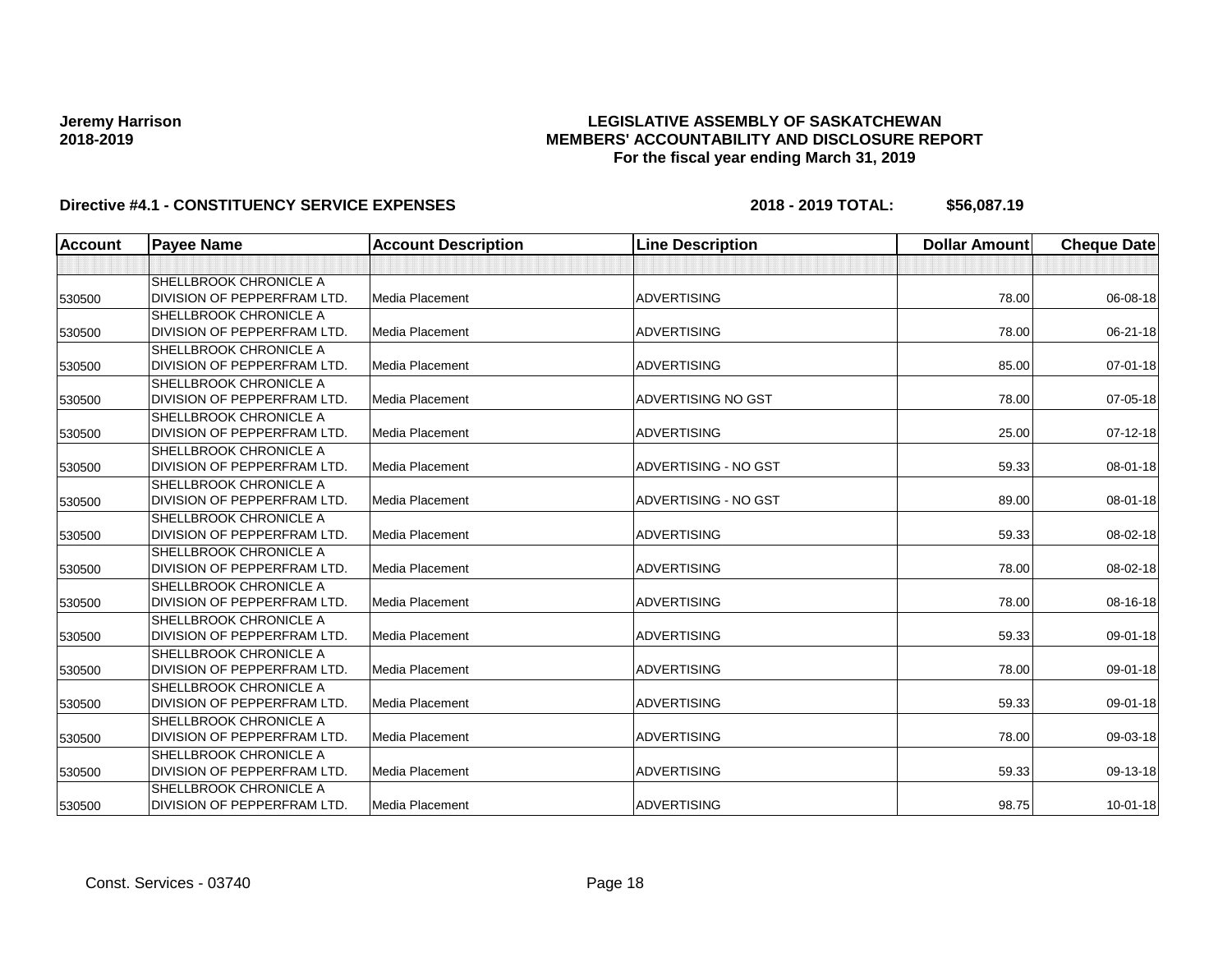## **LEGISLATIVE ASSEMBLY OF SASKATCHEWAN MEMBERS' ACCOUNTABILITY AND DISCLOSURE REPORT For the fiscal year ending March 31, 2019**

| <b>Account</b> | <b>Payee Name</b>                  | <b>Account Description</b> | <b>Line Description</b>   | <b>Dollar Amount</b> | <b>Cheque Date</b> |
|----------------|------------------------------------|----------------------------|---------------------------|----------------------|--------------------|
|                |                                    |                            |                           |                      |                    |
|                | <b>SHELLBROOK CHRONICLE A</b>      |                            |                           |                      |                    |
| 530500         | <b>DIVISION OF PEPPERFRAM LTD.</b> | Media Placement            | <b>ADVERTISING</b>        | 78.00                | 06-08-18           |
|                | <b>SHELLBROOK CHRONICLE A</b>      |                            |                           |                      |                    |
| 530500         | <b>DIVISION OF PEPPERFRAM LTD.</b> | Media Placement            | <b>ADVERTISING</b>        | 78.00                | 06-21-18           |
|                | <b>SHELLBROOK CHRONICLE A</b>      |                            |                           |                      |                    |
| 530500         | DIVISION OF PEPPERFRAM LTD.        | Media Placement            | <b>ADVERTISING</b>        | 85.00                | 07-01-18           |
|                | <b>SHELLBROOK CHRONICLE A</b>      |                            |                           |                      |                    |
| 530500         | DIVISION OF PEPPERFRAM LTD.        | Media Placement            | <b>ADVERTISING NO GST</b> | 78.00                | 07-05-18           |
|                | <b>SHELLBROOK CHRONICLE A</b>      |                            |                           |                      |                    |
| 530500         | DIVISION OF PEPPERFRAM LTD.        | Media Placement            | <b>ADVERTISING</b>        | 25.00                | 07-12-18           |
|                | <b>SHELLBROOK CHRONICLE A</b>      |                            |                           |                      |                    |
| 530500         | DIVISION OF PEPPERFRAM LTD.        | Media Placement            | ADVERTISING - NO GST      | 59.33                | 08-01-18           |
|                | <b>SHELLBROOK CHRONICLE A</b>      |                            |                           |                      |                    |
| 530500         | DIVISION OF PEPPERFRAM LTD.        | Media Placement            | ADVERTISING - NO GST      | 89.00                | 08-01-18           |
|                | <b>SHELLBROOK CHRONICLE A</b>      |                            |                           |                      |                    |
| 530500         | DIVISION OF PEPPERFRAM LTD.        | Media Placement            | <b>ADVERTISING</b>        | 59.33                | 08-02-18           |
|                | <b>SHELLBROOK CHRONICLE A</b>      |                            |                           |                      |                    |
| 530500         | DIVISION OF PEPPERFRAM LTD.        | Media Placement            | <b>ADVERTISING</b>        | 78.00                | 08-02-18           |
|                | <b>SHELLBROOK CHRONICLE A</b>      |                            |                           |                      |                    |
| 530500         | DIVISION OF PEPPERFRAM LTD.        | Media Placement            | <b>ADVERTISING</b>        | 78.00                | 08-16-18           |
|                | <b>SHELLBROOK CHRONICLE A</b>      |                            |                           |                      |                    |
| 530500         | DIVISION OF PEPPERFRAM LTD.        | Media Placement            | <b>ADVERTISING</b>        | 59.33                | 09-01-18           |
|                | <b>SHELLBROOK CHRONICLE A</b>      |                            |                           |                      |                    |
| 530500         | DIVISION OF PEPPERFRAM LTD.        | Media Placement            | <b>ADVERTISING</b>        | 78.00                | 09-01-18           |
|                | <b>SHELLBROOK CHRONICLE A</b>      |                            |                           |                      |                    |
| 530500         | <b>DIVISION OF PEPPERFRAM LTD.</b> | Media Placement            | <b>ADVERTISING</b>        | 59.33                | 09-01-18           |
|                | <b>SHELLBROOK CHRONICLE A</b>      |                            |                           |                      |                    |
| 530500         | DIVISION OF PEPPERFRAM LTD.        | Media Placement            | <b>ADVERTISING</b>        | 78.00                | 09-03-18           |
|                | <b>SHELLBROOK CHRONICLE A</b>      |                            |                           |                      |                    |
| 530500         | DIVISION OF PEPPERFRAM LTD.        | Media Placement            | <b>ADVERTISING</b>        | 59.33                | 09-13-18           |
|                | <b>SHELLBROOK CHRONICLE A</b>      |                            |                           |                      |                    |
| 530500         | DIVISION OF PEPPERFRAM LTD.        | Media Placement            | <b>ADVERTISING</b>        | 98.75                | $10 - 01 - 18$     |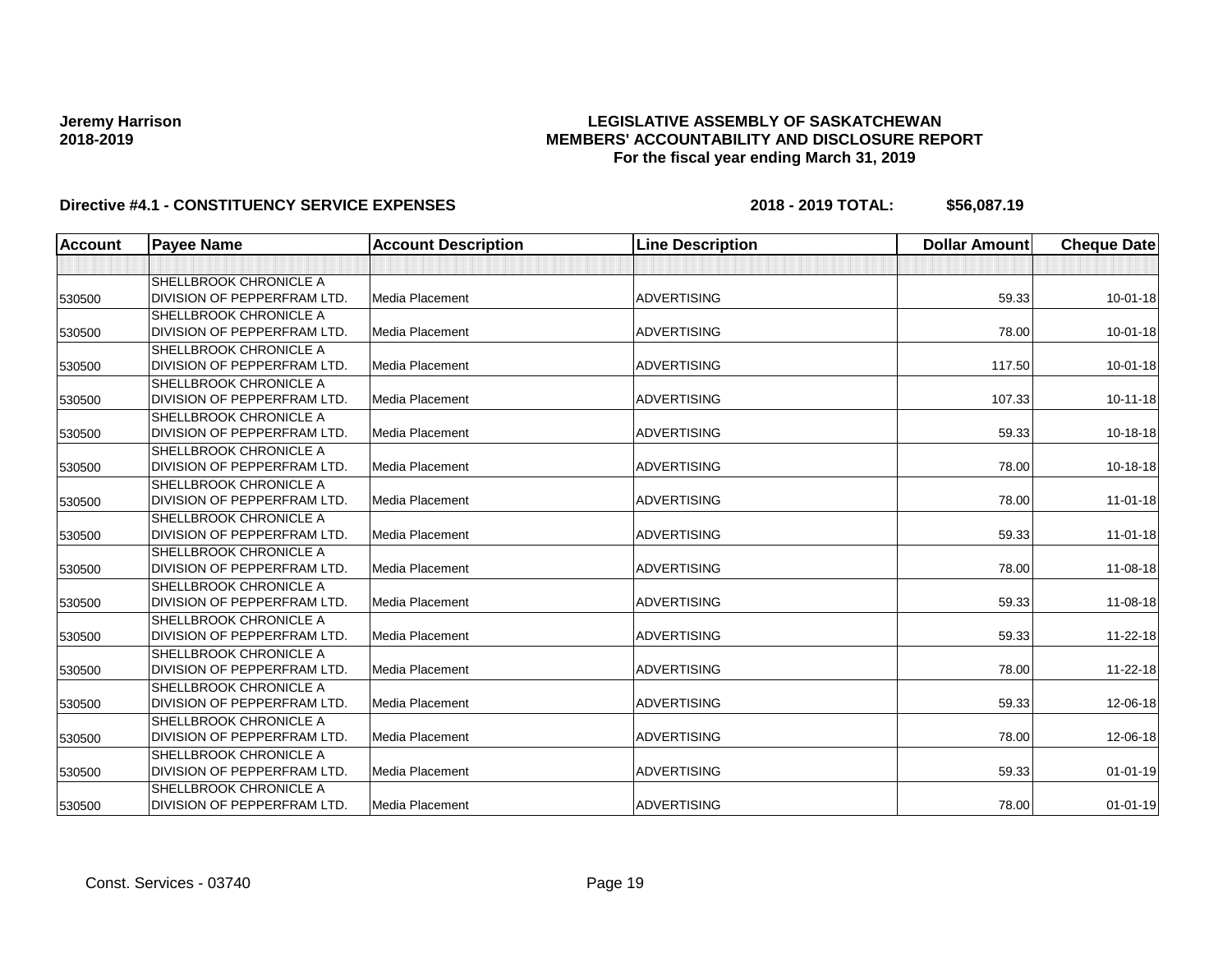## **LEGISLATIVE ASSEMBLY OF SASKATCHEWAN MEMBERS' ACCOUNTABILITY AND DISCLOSURE REPORT For the fiscal year ending March 31, 2019**

| <b>Account</b> | <b>Payee Name</b>                  | <b>Account Description</b> | <b>Line Description</b> | <b>Dollar Amount</b> | <b>Cheque Date</b> |
|----------------|------------------------------------|----------------------------|-------------------------|----------------------|--------------------|
|                |                                    |                            |                         |                      |                    |
|                | SHELLBROOK CHRONICLE A             |                            |                         |                      |                    |
| 530500         | DIVISION OF PEPPERFRAM LTD.        | Media Placement            | <b>ADVERTISING</b>      | 59.33                | $10 - 01 - 18$     |
|                | <b>SHELLBROOK CHRONICLE A</b>      |                            |                         |                      |                    |
| 530500         | DIVISION OF PEPPERFRAM LTD.        | <b>Media Placement</b>     | <b>ADVERTISING</b>      | 78.00                | 10-01-18           |
|                | SHELLBROOK CHRONICLE A             |                            |                         |                      |                    |
| 530500         | DIVISION OF PEPPERFRAM LTD.        | <b>Media Placement</b>     | <b>ADVERTISING</b>      | 117.50               | $10 - 01 - 18$     |
|                | <b>SHELLBROOK CHRONICLE A</b>      |                            |                         |                      |                    |
| 530500         | DIVISION OF PEPPERFRAM LTD.        | Media Placement            | <b>ADVERTISING</b>      | 107.33               | $10 - 11 - 18$     |
|                | <b>SHELLBROOK CHRONICLE A</b>      |                            |                         |                      |                    |
| 530500         | DIVISION OF PEPPERFRAM LTD.        | Media Placement            | <b>ADVERTISING</b>      | 59.33                | 10-18-18           |
|                | SHELLBROOK CHRONICLE A             |                            |                         |                      |                    |
| 530500         | DIVISION OF PEPPERFRAM LTD.        | <b>Media Placement</b>     | <b>ADVERTISING</b>      | 78.00                | 10-18-18           |
|                | <b>SHELLBROOK CHRONICLE A</b>      |                            |                         |                      |                    |
| 530500         | <b>DIVISION OF PEPPERFRAM LTD.</b> | Media Placement            | <b>ADVERTISING</b>      | 78.00                | $11 - 01 - 18$     |
|                | <b>SHELLBROOK CHRONICLE A</b>      |                            |                         |                      |                    |
| 530500         | DIVISION OF PEPPERFRAM LTD.        | Media Placement            | <b>ADVERTISING</b>      | 59.33                | 11-01-18           |
|                | SHELLBROOK CHRONICLE A             |                            |                         |                      |                    |
| 530500         | DIVISION OF PEPPERFRAM LTD.        | Media Placement            | <b>ADVERTISING</b>      | 78.00                | 11-08-18           |
|                | <b>SHELLBROOK CHRONICLE A</b>      |                            |                         |                      |                    |
| 530500         | DIVISION OF PEPPERFRAM LTD.        | <b>Media Placement</b>     | <b>ADVERTISING</b>      | 59.33                | $11 - 08 - 18$     |
|                | <b>SHELLBROOK CHRONICLE A</b>      |                            |                         |                      |                    |
| 530500         | DIVISION OF PEPPERFRAM LTD.        | Media Placement            | <b>ADVERTISING</b>      | 59.33                | 11-22-18           |
|                | SHELLBROOK CHRONICLE A             |                            |                         |                      |                    |
| 530500         | DIVISION OF PEPPERFRAM LTD.        | <b>Media Placement</b>     | <b>ADVERTISING</b>      | 78.00                | 11-22-18           |
|                | <b>SHELLBROOK CHRONICLE A</b>      |                            |                         |                      |                    |
| 530500         | DIVISION OF PEPPERFRAM LTD.        | Media Placement            | <b>ADVERTISING</b>      | 59.33                | 12-06-18           |
|                | <b>SHELLBROOK CHRONICLE A</b>      |                            |                         |                      |                    |
| 530500         | DIVISION OF PEPPERFRAM LTD.        | Media Placement            | <b>ADVERTISING</b>      | 78.00                | 12-06-18           |
|                | <b>SHELLBROOK CHRONICLE A</b>      |                            |                         |                      |                    |
| 530500         | DIVISION OF PEPPERFRAM LTD.        | Media Placement            | <b>ADVERTISING</b>      | 59.33                | $01 - 01 - 19$     |
|                | <b>SHELLBROOK CHRONICLE A</b>      |                            |                         |                      |                    |
| 530500         | DIVISION OF PEPPERFRAM LTD.        | Media Placement            | <b>ADVERTISING</b>      | 78.00                | $01 - 01 - 19$     |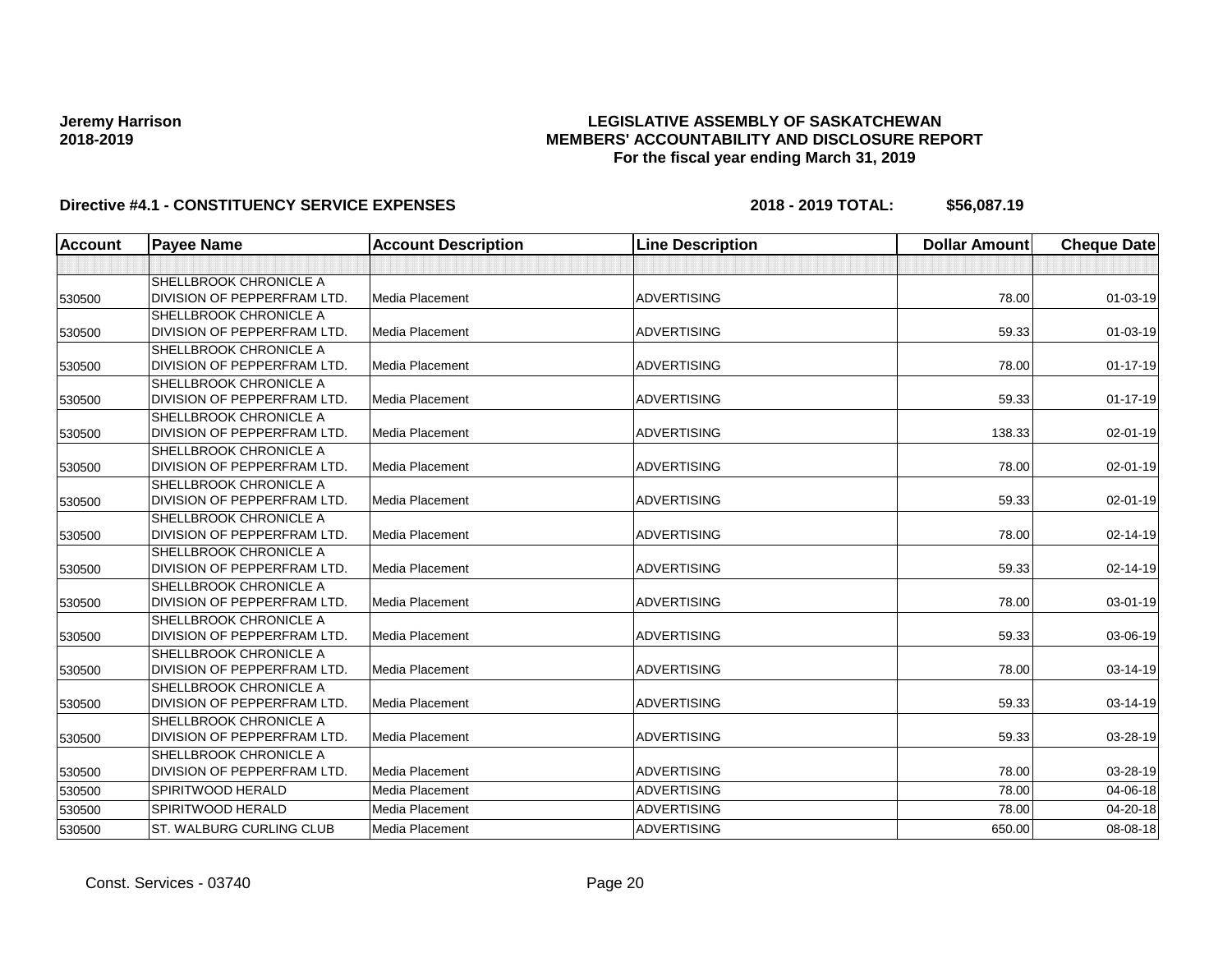## **LEGISLATIVE ASSEMBLY OF SASKATCHEWAN MEMBERS' ACCOUNTABILITY AND DISCLOSURE REPORT For the fiscal year ending March 31, 2019**

| <b>Account</b> | <b>Payee Name</b>                  | <b>Account Description</b> | <b>Line Description</b> | <b>Dollar Amount</b> | <b>Cheque Date</b> |
|----------------|------------------------------------|----------------------------|-------------------------|----------------------|--------------------|
|                |                                    |                            |                         |                      |                    |
|                | <b>SHELLBROOK CHRONICLE A</b>      |                            |                         |                      |                    |
| 530500         | <b>DIVISION OF PEPPERFRAM LTD.</b> | <b>Media Placement</b>     | <b>ADVERTISING</b>      | 78.00                | $01 - 03 - 19$     |
|                | <b>SHELLBROOK CHRONICLE A</b>      |                            |                         |                      |                    |
| 530500         | <b>DIVISION OF PEPPERFRAM LTD.</b> | <b>Media Placement</b>     | <b>ADVERTISING</b>      | 59.33                | $01 - 03 - 19$     |
|                | <b>SHELLBROOK CHRONICLE A</b>      |                            |                         |                      |                    |
| 530500         | DIVISION OF PEPPERFRAM LTD.        | Media Placement            | <b>ADVERTISING</b>      | 78.00                | $01 - 17 - 19$     |
|                | SHELLBROOK CHRONICLE A             |                            |                         |                      |                    |
| 530500         | DIVISION OF PEPPERFRAM LTD.        | Media Placement            | <b>ADVERTISING</b>      | 59.33                | $01 - 17 - 19$     |
|                | <b>SHELLBROOK CHRONICLE A</b>      |                            |                         |                      |                    |
| 530500         | DIVISION OF PEPPERFRAM LTD.        | Media Placement            | <b>ADVERTISING</b>      | 138.33               | 02-01-19           |
|                | <b>SHELLBROOK CHRONICLE A</b>      |                            |                         |                      |                    |
| 530500         | DIVISION OF PEPPERFRAM LTD.        | Media Placement            | <b>ADVERTISING</b>      | 78.00                | 02-01-19           |
|                | SHELLBROOK CHRONICLE A             |                            |                         |                      |                    |
| 530500         | DIVISION OF PEPPERFRAM LTD.        | Media Placement            | <b>ADVERTISING</b>      | 59.33                | 02-01-19           |
|                | <b>SHELLBROOK CHRONICLE A</b>      |                            |                         |                      |                    |
| 530500         | DIVISION OF PEPPERFRAM LTD.        | Media Placement            | <b>ADVERTISING</b>      | 78.00                | 02-14-19           |
|                | <b>SHELLBROOK CHRONICLE A</b>      |                            |                         |                      |                    |
| 530500         | DIVISION OF PEPPERFRAM LTD.        | <b>Media Placement</b>     | <b>ADVERTISING</b>      | 59.33                | 02-14-19           |
|                | <b>SHELLBROOK CHRONICLE A</b>      |                            |                         |                      |                    |
| 530500         | DIVISION OF PEPPERFRAM LTD.        | <b>Media Placement</b>     | <b>ADVERTISING</b>      | 78.00                | 03-01-19           |
|                | SHELLBROOK CHRONICLE A             |                            |                         |                      |                    |
| 530500         | DIVISION OF PEPPERFRAM LTD.        | Media Placement            | <b>ADVERTISING</b>      | 59.33                | 03-06-19           |
|                | <b>SHELLBROOK CHRONICLE A</b>      |                            |                         |                      |                    |
| 530500         | DIVISION OF PEPPERFRAM LTD.        | Media Placement            | <b>ADVERTISING</b>      | 78.00                | 03-14-19           |
|                | <b>SHELLBROOK CHRONICLE A</b>      |                            |                         |                      |                    |
| 530500         | DIVISION OF PEPPERFRAM LTD.        | <b>Media Placement</b>     | <b>ADVERTISING</b>      | 59.33                | 03-14-19           |
|                | SHELLBROOK CHRONICLE A             |                            |                         |                      |                    |
| 530500         | DIVISION OF PEPPERFRAM LTD.        | Media Placement            | <b>ADVERTISING</b>      | 59.33                | 03-28-19           |
|                | <b>SHELLBROOK CHRONICLE A</b>      |                            |                         |                      |                    |
| 530500         | DIVISION OF PEPPERFRAM LTD.        | Media Placement            | <b>ADVERTISING</b>      | 78.00                | 03-28-19           |
| 530500         | SPIRITWOOD HERALD                  | Media Placement            | <b>ADVERTISING</b>      | 78.00                | 04-06-18           |
| 530500         | SPIRITWOOD HERALD                  | Media Placement            | <b>ADVERTISING</b>      | 78.00                | 04-20-18           |
| 530500         | <b>ST. WALBURG CURLING CLUB</b>    | <b>Media Placement</b>     | <b>ADVERTISING</b>      | 650.00               | 08-08-18           |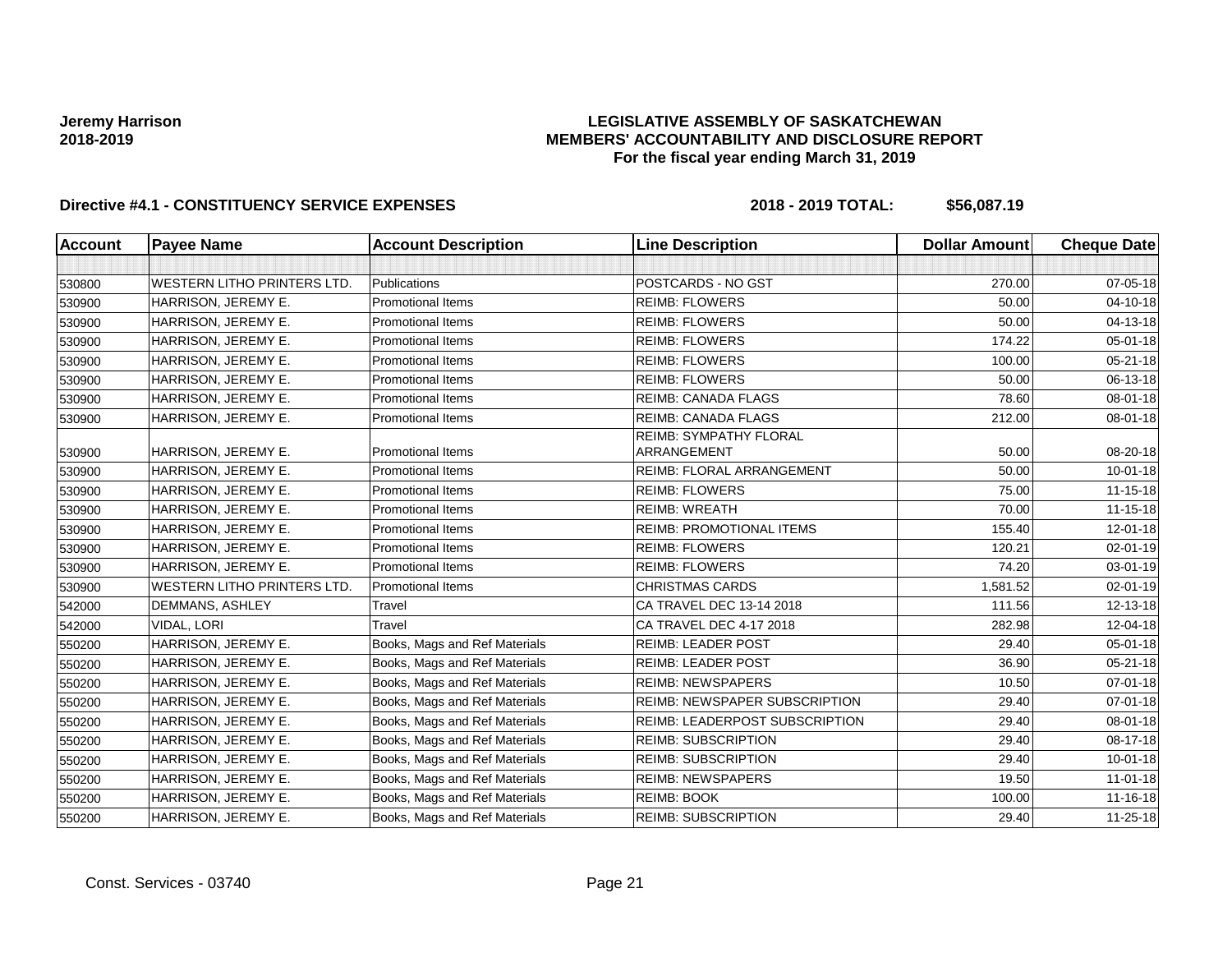## **LEGISLATIVE ASSEMBLY OF SASKATCHEWAN MEMBERS' ACCOUNTABILITY AND DISCLOSURE REPORT For the fiscal year ending March 31, 2019**

| <b>Account</b> | <b>Payee Name</b>                  | <b>Account Description</b>    | <b>Line Description</b>                      | <b>Dollar Amount</b> | <b>Cheque Date</b> |
|----------------|------------------------------------|-------------------------------|----------------------------------------------|----------------------|--------------------|
|                |                                    |                               |                                              |                      |                    |
| 530800         | <b>WESTERN LITHO PRINTERS LTD.</b> | Publications                  | POSTCARDS - NO GST                           | 270.00               | 07-05-18           |
| 530900         | HARRISON, JEREMY E.                | <b>Promotional Items</b>      | <b>REIMB: FLOWERS</b>                        | 50.00                | 04-10-18           |
| 530900         | HARRISON, JEREMY E.                | <b>Promotional Items</b>      | <b>REIMB: FLOWERS</b>                        | 50.00                | 04-13-18           |
| 530900         | HARRISON, JEREMY E.                | Promotional Items             | <b>REIMB: FLOWERS</b>                        | 174.22               | 05-01-18           |
| 530900         | HARRISON, JEREMY E.                | <b>Promotional Items</b>      | <b>REIMB: FLOWERS</b>                        | 100.00               | $05 - 21 - 18$     |
| 530900         | HARRISON, JEREMY E.                | <b>Promotional Items</b>      | <b>REIMB: FLOWERS</b>                        | 50.00                | 06-13-18           |
| 530900         | HARRISON, JEREMY E.                | <b>Promotional Items</b>      | <b>REIMB: CANADA FLAGS</b>                   | 78.60                | 08-01-18           |
| 530900         | HARRISON, JEREMY E.                | <b>Promotional Items</b>      | <b>REIMB: CANADA FLAGS</b>                   | 212.00               | $08 - 01 - 18$     |
| 530900         | HARRISON, JEREMY E.                | <b>Promotional Items</b>      | <b>REIMB: SYMPATHY FLORAL</b><br>ARRANGEMENT | 50.00                | 08-20-18           |
| 530900         | HARRISON, JEREMY E.                | <b>Promotional Items</b>      | REIMB: FLORAL ARRANGEMENT                    | 50.00                | $10 - 01 - 18$     |
| 530900         | HARRISON, JEREMY E.                | <b>Promotional Items</b>      | <b>REIMB: FLOWERS</b>                        | 75.00                | $11 - 15 - 18$     |
| 530900         | HARRISON, JEREMY E.                | Promotional Items             | <b>REIMB: WREATH</b>                         | 70.00                | $11 - 15 - 18$     |
| 530900         | HARRISON, JEREMY E.                | <b>Promotional Items</b>      | <b>REIMB: PROMOTIONAL ITEMS</b>              | 155.40               | 12-01-18           |
| 530900         | HARRISON, JEREMY E.                | <b>Promotional Items</b>      | <b>REIMB: FLOWERS</b>                        | 120.21               | 02-01-19           |
| 530900         | HARRISON, JEREMY E.                | <b>Promotional Items</b>      | <b>REIMB: FLOWERS</b>                        | 74.20                | 03-01-19           |
| 530900         | <b>WESTERN LITHO PRINTERS LTD.</b> | Promotional Items             | <b>CHRISTMAS CARDS</b>                       | 1,581.52             | $02 - 01 - 19$     |
| 542000         | DEMMANS, ASHLEY                    | Travel                        | CA TRAVEL DEC 13-14 2018                     | 111.56               | 12-13-18           |
| 542000         | VIDAL, LORI                        | Travel                        | CA TRAVEL DEC 4-17 2018                      | 282.98               | 12-04-18           |
| 550200         | HARRISON, JEREMY E.                | Books, Mags and Ref Materials | <b>REIMB: LEADER POST</b>                    | 29.40                | 05-01-18           |
| 550200         | HARRISON, JEREMY E.                | Books, Mags and Ref Materials | <b>REIMB: LEADER POST</b>                    | 36.90                | $05 - 21 - 18$     |
| 550200         | HARRISON, JEREMY E.                | Books, Mags and Ref Materials | <b>REIMB: NEWSPAPERS</b>                     | 10.50                | $07 - 01 - 18$     |
| 550200         | HARRISON, JEREMY E.                | Books, Mags and Ref Materials | <b>REIMB: NEWSPAPER SUBSCRIPTION</b>         | 29.40                | $07 - 01 - 18$     |
| 550200         | HARRISON, JEREMY E.                | Books, Mags and Ref Materials | REIMB: LEADERPOST SUBSCRIPTION               | 29.40                | 08-01-18           |
| 550200         | HARRISON, JEREMY E.                | Books, Mags and Ref Materials | <b>REIMB: SUBSCRIPTION</b>                   | 29.40                | 08-17-18           |
| 550200         | HARRISON, JEREMY E.                | Books, Mags and Ref Materials | <b>REIMB: SUBSCRIPTION</b>                   | 29.40                | $10 - 01 - 18$     |
| 550200         | HARRISON, JEREMY E.                | Books, Mags and Ref Materials | <b>REIMB: NEWSPAPERS</b>                     | 19.50                | $11-01-18$         |
| 550200         | HARRISON, JEREMY E.                | Books, Mags and Ref Materials | <b>REIMB: BOOK</b>                           | 100.00               | $11 - 16 - 18$     |
| 550200         | HARRISON, JEREMY E.                | Books, Mags and Ref Materials | <b>REIMB: SUBSCRIPTION</b>                   | 29.40                | 11-25-18           |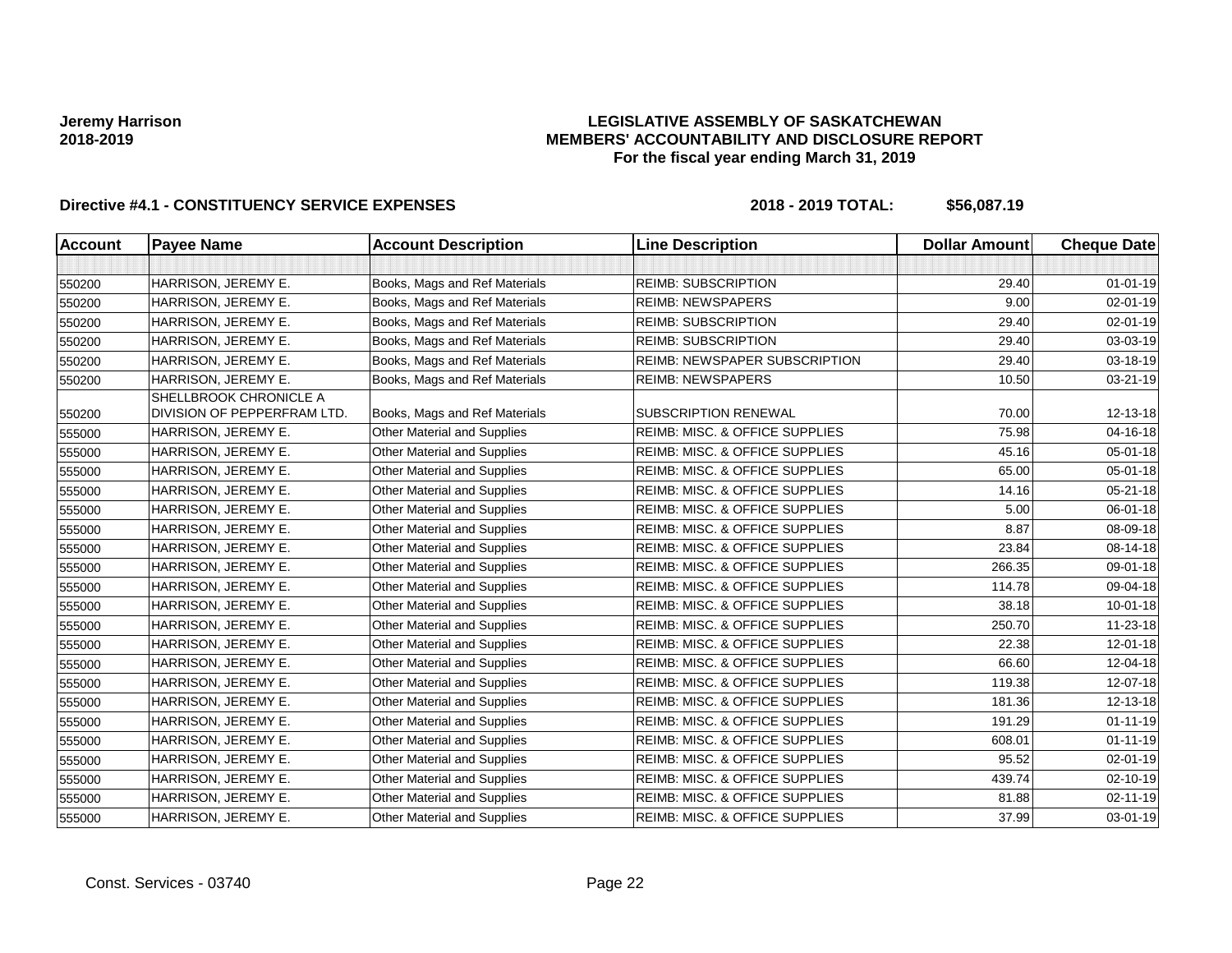## **LEGISLATIVE ASSEMBLY OF SASKATCHEWAN MEMBERS' ACCOUNTABILITY AND DISCLOSURE REPORT For the fiscal year ending March 31, 2019**

| <b>Account</b> | <b>Payee Name</b>           | <b>Account Description</b>         | <b>Line Description</b>                   | <b>Dollar Amount</b> | <b>Cheque Date</b> |
|----------------|-----------------------------|------------------------------------|-------------------------------------------|----------------------|--------------------|
|                |                             |                                    |                                           |                      |                    |
| 550200         | HARRISON, JEREMY E.         | Books, Mags and Ref Materials      | <b>REIMB: SUBSCRIPTION</b>                | 29.40                | $01 - 01 - 19$     |
| 550200         | HARRISON, JEREMY E.         | Books, Mags and Ref Materials      | <b>REIMB: NEWSPAPERS</b>                  | 9.00                 | $02 - 01 - 19$     |
| 550200         | HARRISON, JEREMY E.         | Books, Mags and Ref Materials      | <b>REIMB: SUBSCRIPTION</b>                | 29.40                | $02 - 01 - 19$     |
| 550200         | HARRISON, JEREMY E.         | Books, Mags and Ref Materials      | <b>REIMB: SUBSCRIPTION</b>                | 29.40                | 03-03-19           |
| 550200         | HARRISON, JEREMY E.         | Books, Mags and Ref Materials      | REIMB: NEWSPAPER SUBSCRIPTION             | 29.40                | 03-18-19           |
| 550200         | HARRISON, JEREMY E.         | Books, Mags and Ref Materials      | <b>REIMB: NEWSPAPERS</b>                  | 10.50                | 03-21-19           |
|                | SHELLBROOK CHRONICLE A      |                                    |                                           |                      |                    |
| 550200         | DIVISION OF PEPPERFRAM LTD. | Books, Mags and Ref Materials      | <b>SUBSCRIPTION RENEWAL</b>               | 70.00                | 12-13-18           |
| 555000         | HARRISON, JEREMY E.         | Other Material and Supplies        | REIMB: MISC. & OFFICE SUPPLIES            | 75.98                | 04-16-18           |
| 555000         | HARRISON, JEREMY E.         | Other Material and Supplies        | REIMB: MISC. & OFFICE SUPPLIES            | 45.16                | $05 - 01 - 18$     |
| 555000         | HARRISON, JEREMY E.         | Other Material and Supplies        | REIMB: MISC. & OFFICE SUPPLIES            | 65.00                | 05-01-18           |
| 555000         | HARRISON, JEREMY E.         | Other Material and Supplies        | REIMB: MISC. & OFFICE SUPPLIES            | 14.16                | $05 - 21 - 18$     |
| 555000         | HARRISON, JEREMY E.         | <b>Other Material and Supplies</b> | REIMB: MISC. & OFFICE SUPPLIES            | 5.00                 | 06-01-18           |
| 555000         | HARRISON, JEREMY E.         | Other Material and Supplies        | REIMB: MISC. & OFFICE SUPPLIES            | 8.87                 | 08-09-18           |
| 555000         | HARRISON, JEREMY E.         | Other Material and Supplies        | REIMB: MISC. & OFFICE SUPPLIES            | 23.84                | 08-14-18           |
| 555000         | HARRISON, JEREMY E.         | Other Material and Supplies        | REIMB: MISC. & OFFICE SUPPLIES            | 266.35               | 09-01-18           |
| 555000         | HARRISON, JEREMY E.         | Other Material and Supplies        | REIMB: MISC. & OFFICE SUPPLIES            | 114.78               | 09-04-18           |
| 555000         | HARRISON, JEREMY E.         | Other Material and Supplies        | REIMB: MISC. & OFFICE SUPPLIES            | 38.18                | $10 - 01 - 18$     |
| 555000         | HARRISON, JEREMY E.         | Other Material and Supplies        | REIMB: MISC. & OFFICE SUPPLIES            | 250.70               | 11-23-18           |
| 555000         | HARRISON, JEREMY E.         | Other Material and Supplies        | REIMB: MISC. & OFFICE SUPPLIES            | 22.38                | $12 - 01 - 18$     |
| 555000         | HARRISON, JEREMY E.         | Other Material and Supplies        | REIMB: MISC. & OFFICE SUPPLIES            | 66.60                | 12-04-18           |
| 555000         | HARRISON, JEREMY E.         | Other Material and Supplies        | REIMB: MISC. & OFFICE SUPPLIES            | 119.38               | 12-07-18           |
| 555000         | HARRISON, JEREMY E.         | Other Material and Supplies        | REIMB: MISC. & OFFICE SUPPLIES            | 181.36               | 12-13-18           |
| 555000         | HARRISON, JEREMY E.         | Other Material and Supplies        | REIMB: MISC. & OFFICE SUPPLIES            | 191.29               | $01 - 11 - 19$     |
| 555000         | HARRISON, JEREMY E.         | Other Material and Supplies        | REIMB: MISC. & OFFICE SUPPLIES            | 608.01               | $01 - 11 - 19$     |
| 555000         | HARRISON, JEREMY E.         | Other Material and Supplies        | <b>REIMB: MISC. &amp; OFFICE SUPPLIES</b> | 95.52                | $02 - 01 - 19$     |
| 555000         | HARRISON, JEREMY E.         | Other Material and Supplies        | REIMB: MISC. & OFFICE SUPPLIES            | 439.74               | 02-10-19           |
| 555000         | HARRISON, JEREMY E.         | Other Material and Supplies        | <b>REIMB: MISC. &amp; OFFICE SUPPLIES</b> | 81.88                | 02-11-19           |
| 555000         | HARRISON, JEREMY E.         | Other Material and Supplies        | REIMB: MISC. & OFFICE SUPPLIES            | 37.99                | 03-01-19           |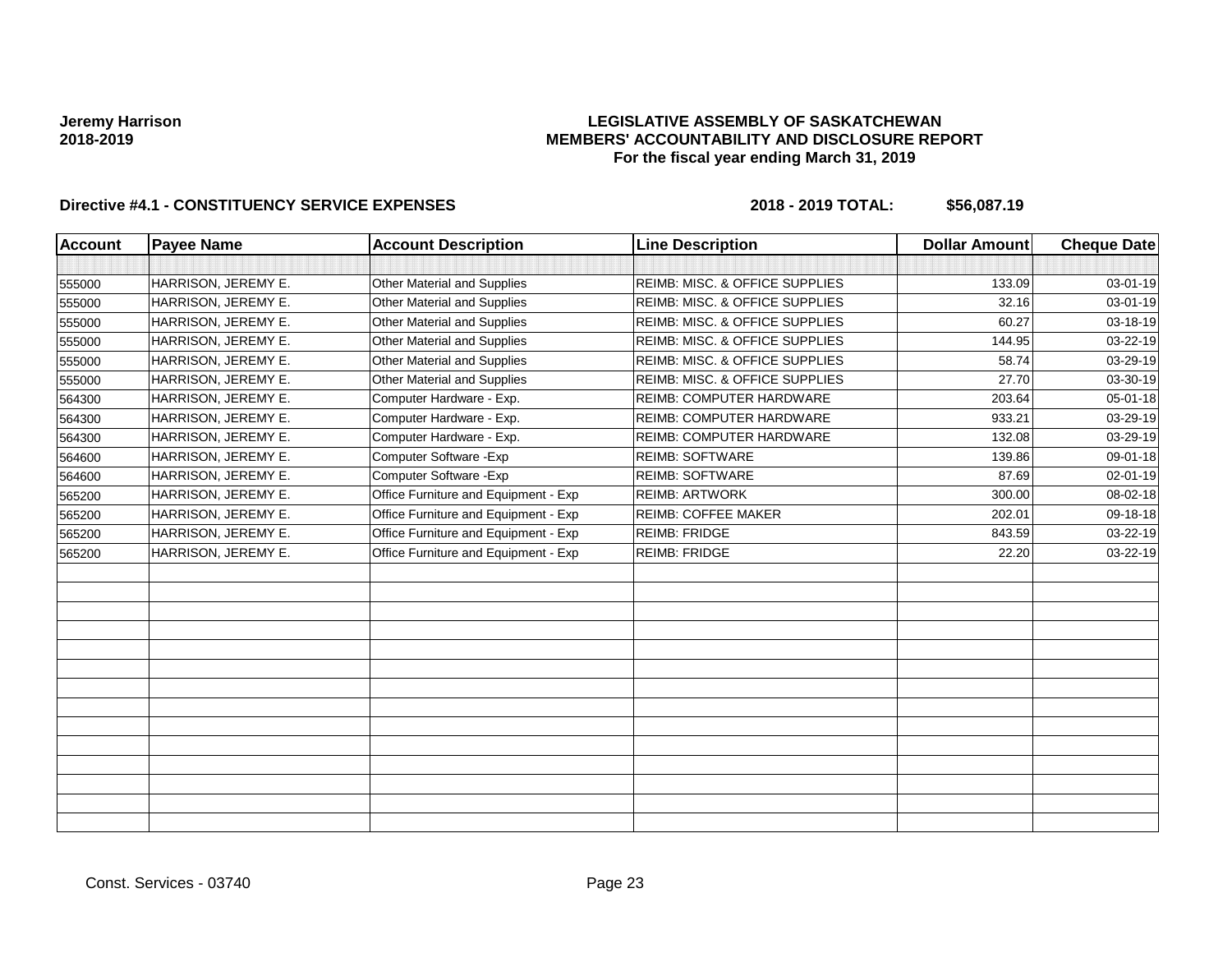## **LEGISLATIVE ASSEMBLY OF SASKATCHEWAN MEMBERS' ACCOUNTABILITY AND DISCLOSURE REPORT For the fiscal year ending March 31, 2019**

| Account | <b>Payee Name</b>   | <b>Account Description</b>           | <b>Line Description</b>                   | <b>Dollar Amount</b> | <b>Cheque Date</b> |
|---------|---------------------|--------------------------------------|-------------------------------------------|----------------------|--------------------|
|         |                     |                                      |                                           |                      |                    |
| 555000  | HARRISON, JEREMY E. | Other Material and Supplies          | <b>REIMB: MISC. &amp; OFFICE SUPPLIES</b> | 133.09               | 03-01-19           |
| 555000  | HARRISON, JEREMY E. | <b>Other Material and Supplies</b>   | REIMB: MISC. & OFFICE SUPPLIES            | 32.16                | 03-01-19           |
| 555000  | HARRISON, JEREMY E. | Other Material and Supplies          | REIMB: MISC. & OFFICE SUPPLIES            | 60.27                | 03-18-19           |
| 555000  | HARRISON, JEREMY E. | Other Material and Supplies          | REIMB: MISC. & OFFICE SUPPLIES            | 144.95               | 03-22-19           |
| 555000  | HARRISON, JEREMY E. | Other Material and Supplies          | REIMB: MISC. & OFFICE SUPPLIES            | 58.74                | 03-29-19           |
| 555000  | HARRISON, JEREMY E. | <b>Other Material and Supplies</b>   | REIMB: MISC. & OFFICE SUPPLIES            | 27.70                | 03-30-19           |
| 564300  | HARRISON, JEREMY E. | Computer Hardware - Exp.             | <b>REIMB: COMPUTER HARDWARE</b>           | 203.64               | 05-01-18           |
| 564300  | HARRISON, JEREMY E. | Computer Hardware - Exp.             | <b>REIMB: COMPUTER HARDWARE</b>           | 933.21               | 03-29-19           |
| 564300  | HARRISON, JEREMY E. | Computer Hardware - Exp.             | REIMB: COMPUTER HARDWARE                  | 132.08               | 03-29-19           |
| 564600  | HARRISON, JEREMY E. | Computer Software - Exp              | <b>REIMB: SOFTWARE</b>                    | 139.86               | 09-01-18           |
| 564600  | HARRISON, JEREMY E. | Computer Software - Exp              | <b>REIMB: SOFTWARE</b>                    | 87.69                | 02-01-19           |
| 565200  | HARRISON, JEREMY E. | Office Furniture and Equipment - Exp | <b>REIMB: ARTWORK</b>                     | 300.00               | 08-02-18           |
| 565200  | HARRISON, JEREMY E. | Office Furniture and Equipment - Exp | <b>REIMB: COFFEE MAKER</b>                | 202.01               | 09-18-18           |
| 565200  | HARRISON, JEREMY E. | Office Furniture and Equipment - Exp | <b>REIMB: FRIDGE</b>                      | 843.59               | 03-22-19           |
| 565200  | HARRISON, JEREMY E. | Office Furniture and Equipment - Exp | <b>REIMB: FRIDGE</b>                      | 22.20                | 03-22-19           |
|         |                     |                                      |                                           |                      |                    |
|         |                     |                                      |                                           |                      |                    |
|         |                     |                                      |                                           |                      |                    |
|         |                     |                                      |                                           |                      |                    |
|         |                     |                                      |                                           |                      |                    |
|         |                     |                                      |                                           |                      |                    |
|         |                     |                                      |                                           |                      |                    |
|         |                     |                                      |                                           |                      |                    |
|         |                     |                                      |                                           |                      |                    |
|         |                     |                                      |                                           |                      |                    |
|         |                     |                                      |                                           |                      |                    |
|         |                     |                                      |                                           |                      |                    |
|         |                     |                                      |                                           |                      |                    |
|         |                     |                                      |                                           |                      |                    |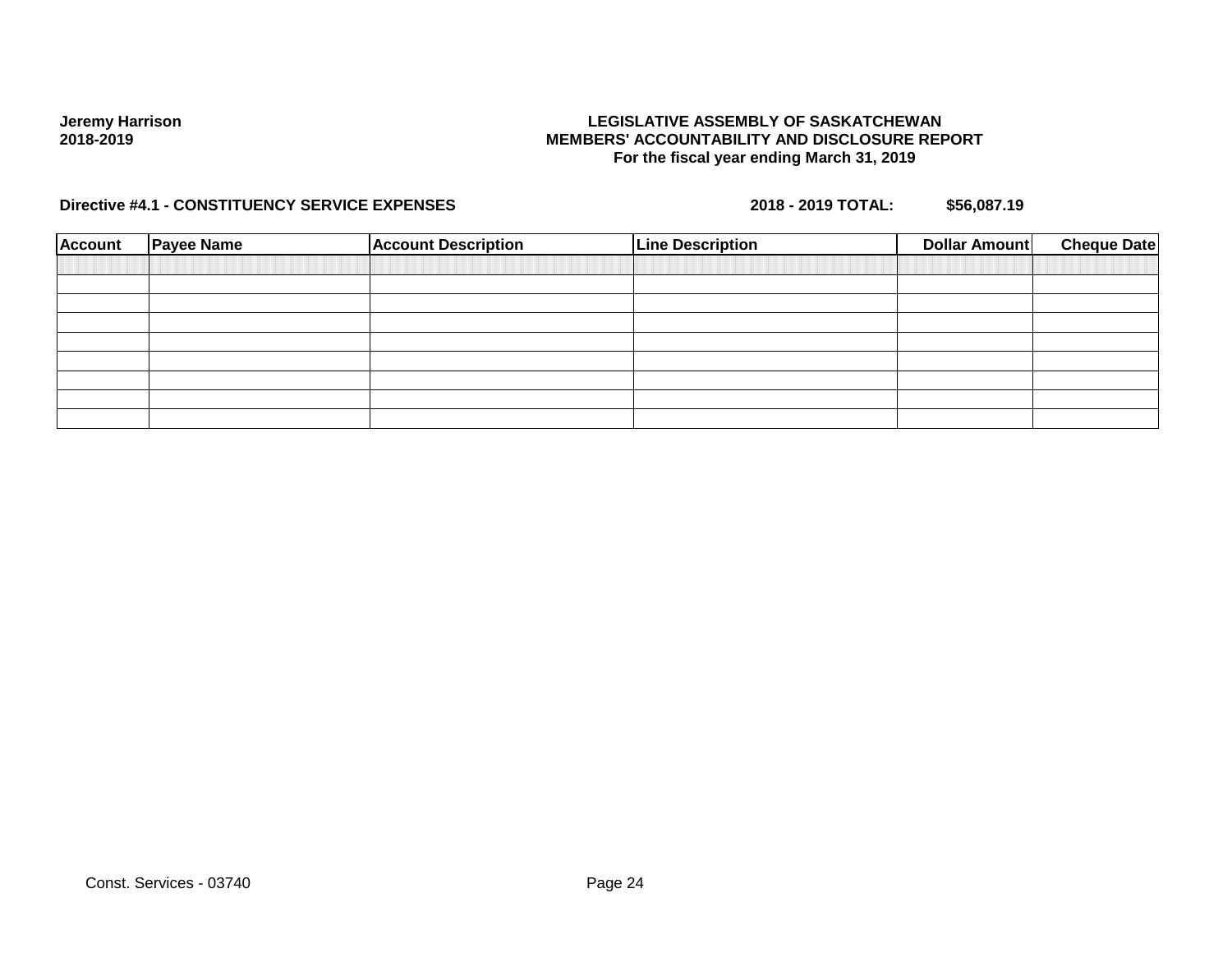## **LEGISLATIVE ASSEMBLY OF SASKATCHEWAN MEMBERS' ACCOUNTABILITY AND DISCLOSURE REPORT For the fiscal year ending March 31, 2019**

| <b>Account</b> | <b>Payee Name</b> | <b>Account Description</b> | <b>Line Description</b> | Dollar Amount | <b>Cheque Date</b> |
|----------------|-------------------|----------------------------|-------------------------|---------------|--------------------|
|                |                   |                            |                         |               |                    |
|                |                   |                            |                         |               |                    |
|                |                   |                            |                         |               |                    |
|                |                   |                            |                         |               |                    |
|                |                   |                            |                         |               |                    |
|                |                   |                            |                         |               |                    |
|                |                   |                            |                         |               |                    |
|                |                   |                            |                         |               |                    |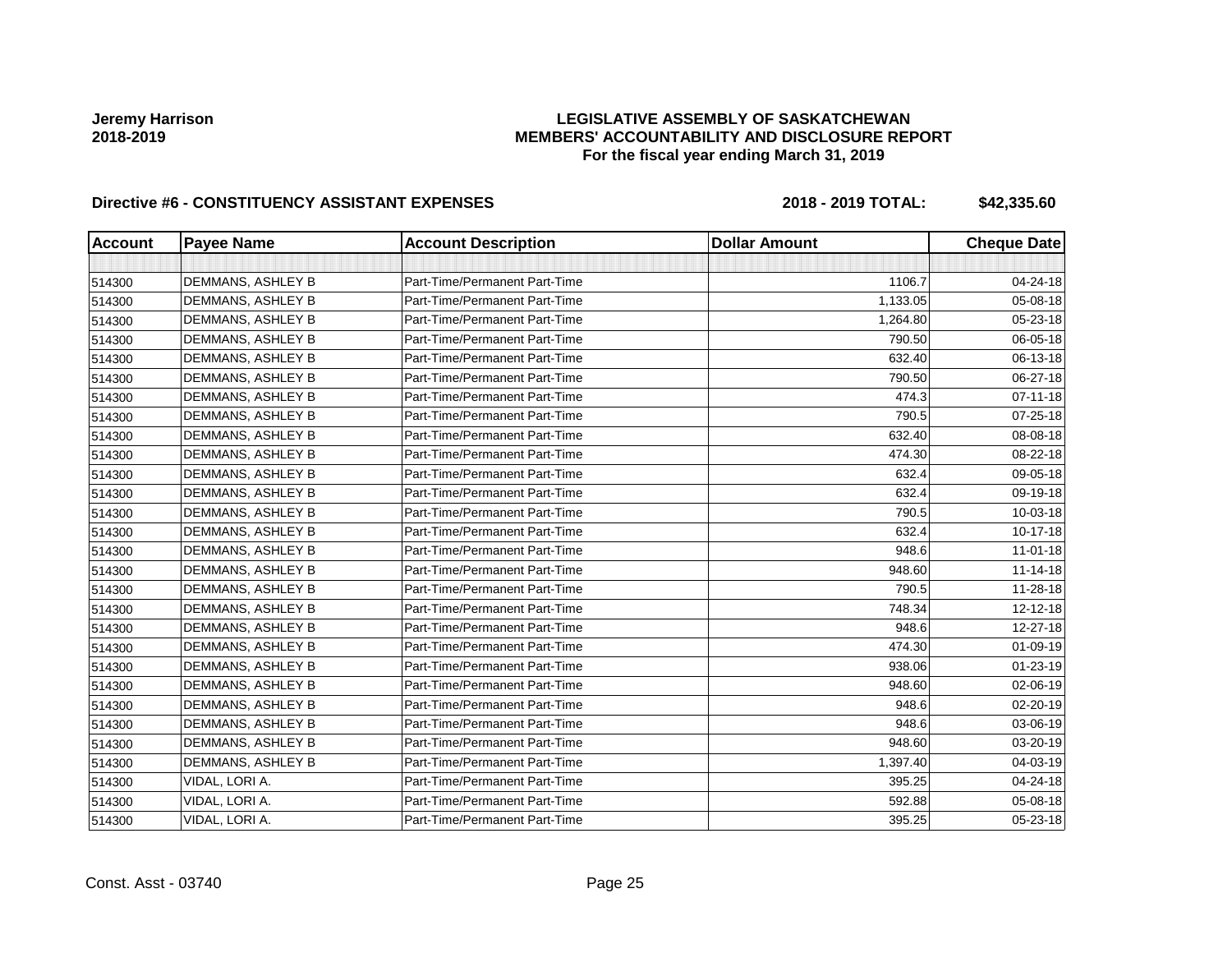## **LEGISLATIVE ASSEMBLY OF SASKATCHEWAN MEMBERS' ACCOUNTABILITY AND DISCLOSURE REPORT For the fiscal year ending March 31, 2019**

| <b>Account</b> | <b>Payee Name</b> | <b>Account Description</b>    | <b>Dollar Amount</b> | <b>Cheque Date</b> |
|----------------|-------------------|-------------------------------|----------------------|--------------------|
|                |                   |                               |                      |                    |
| 514300         | DEMMANS, ASHLEY B | Part-Time/Permanent Part-Time | 1106.7               | 04-24-18           |
| 514300         | DEMMANS, ASHLEY B | Part-Time/Permanent Part-Time | 1,133.05             | 05-08-18           |
| 514300         | DEMMANS, ASHLEY B | Part-Time/Permanent Part-Time | 1,264.80             | 05-23-18           |
| 514300         | DEMMANS, ASHLEY B | Part-Time/Permanent Part-Time | 790.50               | 06-05-18           |
| 514300         | DEMMANS, ASHLEY B | Part-Time/Permanent Part-Time | 632.40               | 06-13-18           |
| 514300         | DEMMANS, ASHLEY B | Part-Time/Permanent Part-Time | 790.50               | 06-27-18           |
| 514300         | DEMMANS, ASHLEY B | Part-Time/Permanent Part-Time | 474.3                | $07 - 11 - 18$     |
| 514300         | DEMMANS, ASHLEY B | Part-Time/Permanent Part-Time | 790.5                | 07-25-18           |
| 514300         | DEMMANS, ASHLEY B | Part-Time/Permanent Part-Time | 632.40               | 08-08-18           |
| 514300         | DEMMANS, ASHLEY B | Part-Time/Permanent Part-Time | 474.30               | 08-22-18           |
| 514300         | DEMMANS, ASHLEY B | Part-Time/Permanent Part-Time | 632.4                | 09-05-18           |
| 514300         | DEMMANS, ASHLEY B | Part-Time/Permanent Part-Time | 632.4                | 09-19-18           |
| 514300         | DEMMANS, ASHLEY B | Part-Time/Permanent Part-Time | 790.5                | 10-03-18           |
| 514300         | DEMMANS, ASHLEY B | Part-Time/Permanent Part-Time | 632.4                | 10-17-18           |
| 514300         | DEMMANS, ASHLEY B | Part-Time/Permanent Part-Time | 948.6                | $11 - 01 - 18$     |
| 514300         | DEMMANS, ASHLEY B | Part-Time/Permanent Part-Time | 948.60               | $11 - 14 - 18$     |
| 514300         | DEMMANS, ASHLEY B | Part-Time/Permanent Part-Time | 790.5                | 11-28-18           |
| 514300         | DEMMANS, ASHLEY B | Part-Time/Permanent Part-Time | 748.34               | 12-12-18           |
| 514300         | DEMMANS, ASHLEY B | Part-Time/Permanent Part-Time | 948.6                | 12-27-18           |
| 514300         | DEMMANS, ASHLEY B | Part-Time/Permanent Part-Time | 474.30               | 01-09-19           |
| 514300         | DEMMANS, ASHLEY B | Part-Time/Permanent Part-Time | 938.06               | 01-23-19           |
| 514300         | DEMMANS, ASHLEY B | Part-Time/Permanent Part-Time | 948.60               | 02-06-19           |
| 514300         | DEMMANS, ASHLEY B | Part-Time/Permanent Part-Time | 948.6                | 02-20-19           |
| 514300         | DEMMANS, ASHLEY B | Part-Time/Permanent Part-Time | 948.6                | 03-06-19           |
| 514300         | DEMMANS, ASHLEY B | Part-Time/Permanent Part-Time | 948.60               | 03-20-19           |
| 514300         | DEMMANS, ASHLEY B | Part-Time/Permanent Part-Time | 1,397.40             | 04-03-19           |
| 514300         | VIDAL, LORI A.    | Part-Time/Permanent Part-Time | 395.25               | 04-24-18           |
| 514300         | VIDAL, LORI A.    | Part-Time/Permanent Part-Time | 592.88               | 05-08-18           |
| 514300         | VIDAL, LORI A.    | Part-Time/Permanent Part-Time | 395.25               | 05-23-18           |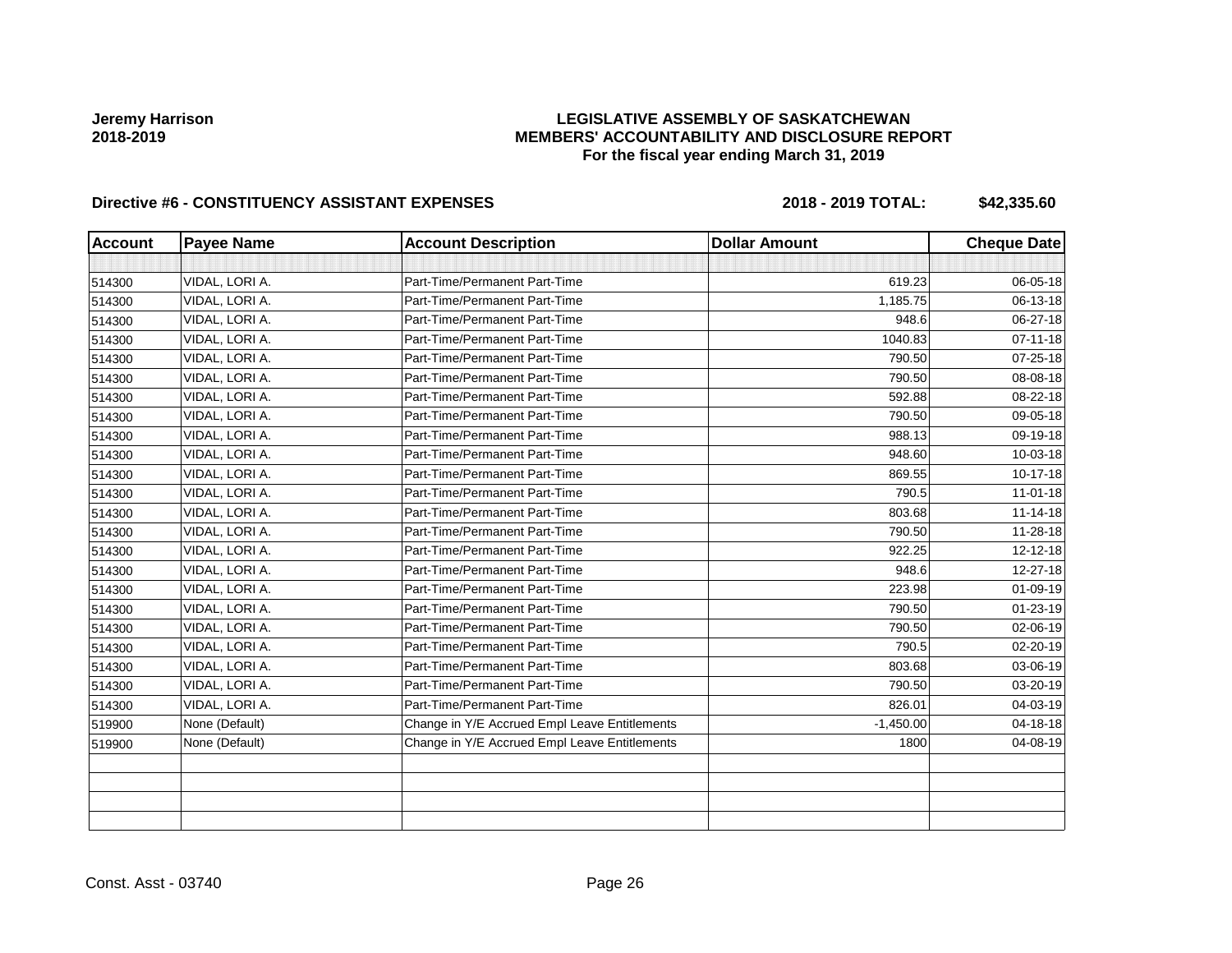## **LEGISLATIVE ASSEMBLY OF SASKATCHEWAN MEMBERS' ACCOUNTABILITY AND DISCLOSURE REPORT For the fiscal year ending March 31, 2019**

| <b>Account</b> | <b>Payee Name</b> | <b>Account Description</b>                    | <b>Dollar Amount</b> | <b>Cheque Date</b> |
|----------------|-------------------|-----------------------------------------------|----------------------|--------------------|
|                |                   |                                               |                      |                    |
| 514300         | VIDAL, LORI A.    | Part-Time/Permanent Part-Time                 | 619.23               | 06-05-18           |
| 514300         | VIDAL, LORI A.    | Part-Time/Permanent Part-Time                 | 1,185.75             | 06-13-18           |
| 514300         | VIDAL, LORI A.    | Part-Time/Permanent Part-Time                 | 948.6                | 06-27-18           |
| 514300         | VIDAL, LORI A.    | Part-Time/Permanent Part-Time                 | 1040.83              | $07 - 11 - 18$     |
| 514300         | VIDAL, LORI A.    | Part-Time/Permanent Part-Time                 | 790.50               | $07 - 25 - 18$     |
| 514300         | VIDAL, LORI A.    | Part-Time/Permanent Part-Time                 | 790.50               | 08-08-18           |
| 514300         | VIDAL, LORI A.    | Part-Time/Permanent Part-Time                 | 592.88               | 08-22-18           |
| 514300         | VIDAL, LORI A.    | Part-Time/Permanent Part-Time                 | 790.50               | 09-05-18           |
| 514300         | VIDAL, LORI A.    | Part-Time/Permanent Part-Time                 | 988.13               | 09-19-18           |
| 514300         | VIDAL, LORI A.    | Part-Time/Permanent Part-Time                 | 948.60               | 10-03-18           |
| 514300         | VIDAL, LORI A.    | Part-Time/Permanent Part-Time                 | 869.55               | $10-17-18$         |
| 514300         | VIDAL, LORI A.    | Part-Time/Permanent Part-Time                 | 790.5                | $11-01-18$         |
| 514300         | VIDAL. LORI A.    | Part-Time/Permanent Part-Time                 | 803.68               | $11 - 14 - 18$     |
| 514300         | VIDAL, LORI A.    | Part-Time/Permanent Part-Time                 | 790.50               | 11-28-18           |
| 514300         | VIDAL, LORI A.    | Part-Time/Permanent Part-Time                 | 922.25               | 12-12-18           |
| 514300         | VIDAL, LORI A.    | Part-Time/Permanent Part-Time                 | 948.6                | 12-27-18           |
| 514300         | VIDAL, LORI A.    | Part-Time/Permanent Part-Time                 | 223.98               | 01-09-19           |
| 514300         | VIDAL, LORI A.    | Part-Time/Permanent Part-Time                 | 790.50               | $01 - 23 - 19$     |
| 514300         | VIDAL, LORI A.    | Part-Time/Permanent Part-Time                 | 790.50               | 02-06-19           |
| 514300         | VIDAL, LORI A.    | Part-Time/Permanent Part-Time                 | 790.5                | 02-20-19           |
| 514300         | VIDAL, LORI A.    | Part-Time/Permanent Part-Time                 | 803.68               | 03-06-19           |
| 514300         | VIDAL, LORI A.    | Part-Time/Permanent Part-Time                 | 790.50               | 03-20-19           |
| 514300         | VIDAL, LORI A.    | Part-Time/Permanent Part-Time                 | 826.01               | 04-03-19           |
| 519900         | None (Default)    | Change in Y/E Accrued Empl Leave Entitlements | $-1,450.00$          | 04-18-18           |
| 519900         | None (Default)    | Change in Y/E Accrued Empl Leave Entitlements | 1800                 | 04-08-19           |
|                |                   |                                               |                      |                    |
|                |                   |                                               |                      |                    |
|                |                   |                                               |                      |                    |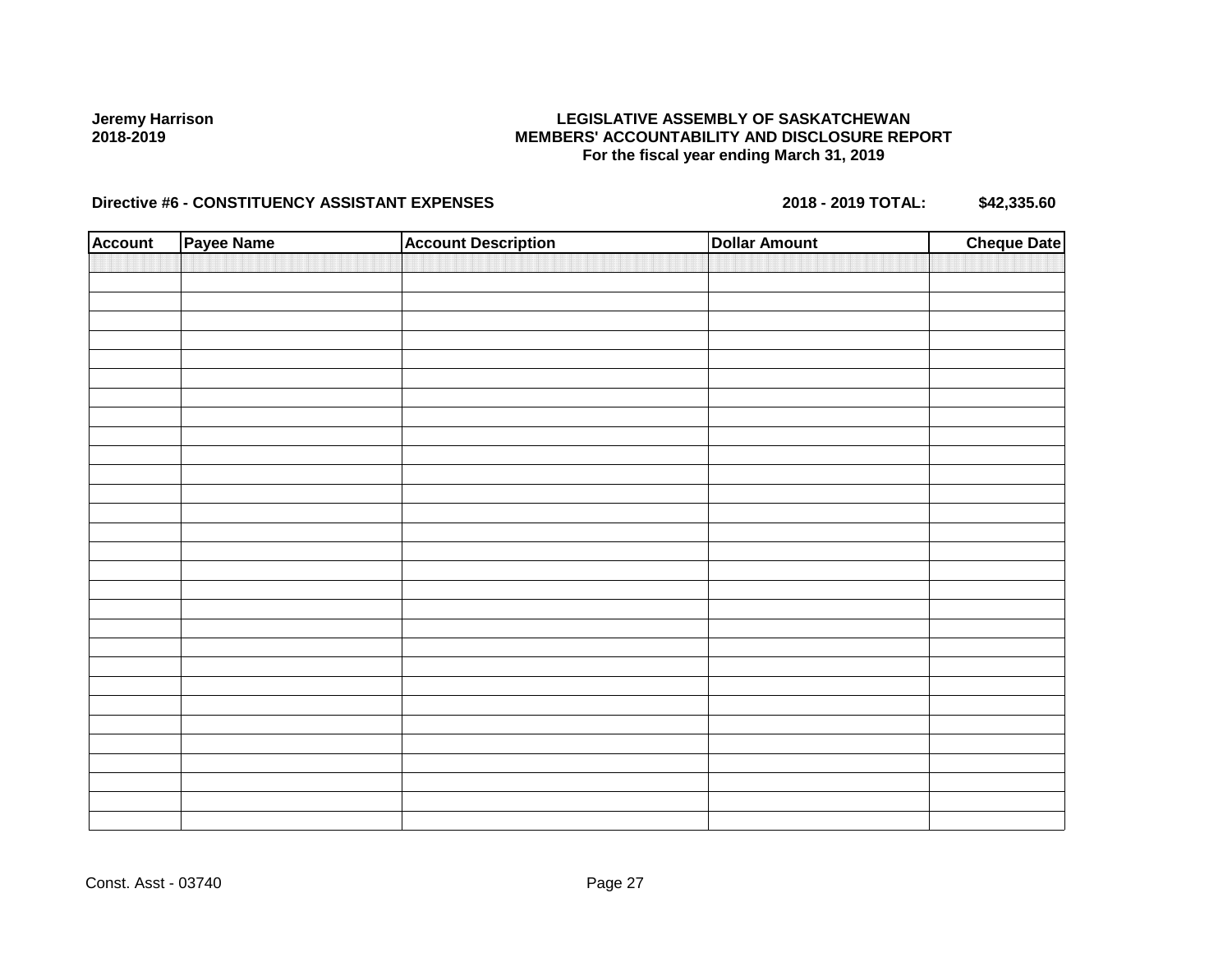## **LEGISLATIVE ASSEMBLY OF SASKATCHEWAN MEMBERS' ACCOUNTABILITY AND DISCLOSURE REPORT For the fiscal year ending March 31, 2019**

| <b>Account</b> | Payee Name | <b>Account Description</b> | <b>Dollar Amount</b> | <b>Cheque Date</b> |
|----------------|------------|----------------------------|----------------------|--------------------|
|                |            |                            |                      |                    |
|                |            |                            |                      |                    |
|                |            |                            |                      |                    |
|                |            |                            |                      |                    |
|                |            |                            |                      |                    |
|                |            |                            |                      |                    |
|                |            |                            |                      |                    |
|                |            |                            |                      |                    |
|                |            |                            |                      |                    |
|                |            |                            |                      |                    |
|                |            |                            |                      |                    |
|                |            |                            |                      |                    |
|                |            |                            |                      |                    |
|                |            |                            |                      |                    |
|                |            |                            |                      |                    |
|                |            |                            |                      |                    |
|                |            |                            |                      |                    |
|                |            |                            |                      |                    |
|                |            |                            |                      |                    |
|                |            |                            |                      |                    |
|                |            |                            |                      |                    |
|                |            |                            |                      |                    |
|                |            |                            |                      |                    |
|                |            |                            |                      |                    |
|                |            |                            |                      |                    |
|                |            |                            |                      |                    |
|                |            |                            |                      |                    |
|                |            |                            |                      |                    |
|                |            |                            |                      |                    |